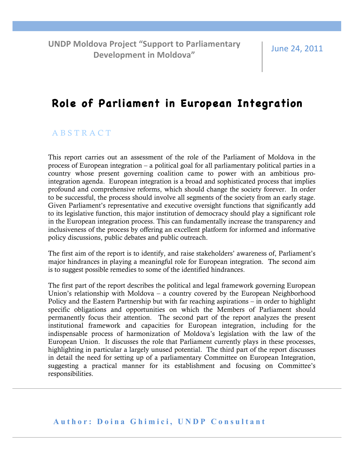**UNDP Moldova Project "Support to Parliamentary Development in Moldova"** 

June 24, 2011

# **Role of Parliament in European Integration**

### A B S T R A C T

This report carries out an assessment of the role of the Parliament of Moldova in the process of European integration – a political goal for all parliamentary political parties in a country whose present governing coalition came to power with an ambitious prointegration agenda. European integration is a broad and sophisticated process that implies profound and comprehensive reforms, which should change the society forever. In order to be successful, the process should involve all segments of the society from an early stage. Given Parliament's representative and executive oversight functions that significantly add to its legislative function, this major institution of democracy should play a significant role in the European integration process. This can fundamentally increase the transparency and inclusiveness of the process by offering an excellent platform for informed and informative policy discussions, public debates and public outreach.

The first aim of the report is to identify, and raise stakeholders' awareness of, Parliament's major hindrances in playing a meaningful role for European integration. The second aim is to suggest possible remedies to some of the identified hindrances.

The first part of the report describes the political and legal framework governing European Union's relationship with Moldova – a country covered by the European Neighborhood Policy and the Eastern Partnership but with far reaching aspirations – in order to highlight specific obligations and opportunities on which the Members of Parliament should permanently focus their attention. The second part of the report analyzes the present institutional framework and capacities for European integration, including for the indispensable process of harmonization of Moldova's legislation with the law of the European Union. It discusses the role that Parliament currently plays in these processes, highlighting in particular a largely unused potential. The third part of the report discusses in detail the need for setting up of a parliamentary Committee on European Integration, suggesting a practical manner for its establishment and focusing on Committee's responsibilities.

**Author: Doina Ghimici, UNDP Consultant**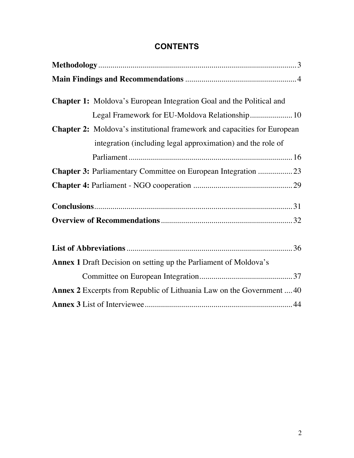| <b>Chapter 1:</b> Moldova's European Integration Goal and the Political and |
|-----------------------------------------------------------------------------|
|                                                                             |
| Legal Framework for EU-Moldova Relationship 10                              |
| Chapter 2: Moldova's institutional framework and capacities for European    |
| integration (including legal approximation) and the role of                 |
|                                                                             |
| Chapter 3: Parliamentary Committee on European Integration 23               |
|                                                                             |
|                                                                             |
|                                                                             |
|                                                                             |
|                                                                             |
|                                                                             |
| <b>Annex 1</b> Draft Decision on setting up the Parliament of Moldova's     |
|                                                                             |
| Annex 2 Excerpts from Republic of Lithuania Law on the Government  40       |
|                                                                             |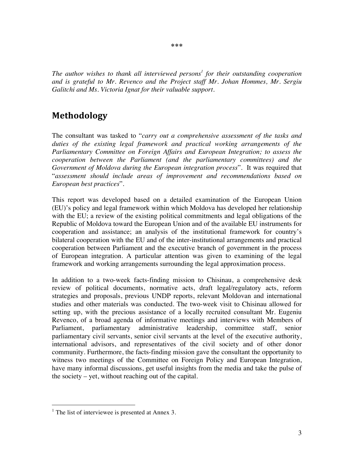*The author wishes to thank all interviewed persons<sup>1</sup> for their outstanding cooperation and is grateful to Mr. Revenco and the Project staff Mr. Johan Hommes, Mr. Sergiu Galitchi and Ms. Victoria Ignat for their valuable support.* 

### **Methodology\***

The consultant was tasked to "*carry out a comprehensive assessment of the tasks and duties of the existing legal framework and practical working arrangements of the Parliamentary Committee on Foreign Affairs and European Integration; to assess the cooperation between the Parliament (and the parliamentary committees) and the Government of Moldova during the European integration process*". It was required that "*assessment should include areas of improvement and recommendations based on European best practices*".

This report was developed based on a detailed examination of the European Union (EU)'s policy and legal framework within which Moldova has developed her relationship with the EU; a review of the existing political commitments and legal obligations of the Republic of Moldova toward the European Union and of the available EU instruments for cooperation and assistance; an analysis of the institutional framework for country's bilateral cooperation with the EU and of the inter-institutional arrangements and practical cooperation between Parliament and the executive branch of government in the process of European integration. A particular attention was given to examining of the legal framework and working arrangements surrounding the legal approximation process.

In addition to a two-week facts-finding mission to Chisinau, a comprehensive desk review of political documents, normative acts, draft legal/regulatory acts, reform strategies and proposals, previous UNDP reports, relevant Moldovan and international studies and other materials was conducted. The two-week visit to Chisinau allowed for setting up, with the precious assistance of a locally recruited consultant Mr. Eugeniu Revenco, of a broad agenda of informative meetings and interviews with Members of Parliament, parliamentary administrative leadership, committee staff, senior parliamentary civil servants, senior civil servants at the level of the executive authority, international advisors, and representatives of the civil society and of other donor community. Furthermore, the facts-finding mission gave the consultant the opportunity to witness two meetings of the Committee on Foreign Policy and European Integration, have many informal discussions, get useful insights from the media and take the pulse of the society – yet, without reaching out of the capital.

<sup>&</sup>lt;sup>1</sup> The list of interviewee is presented at Annex 3.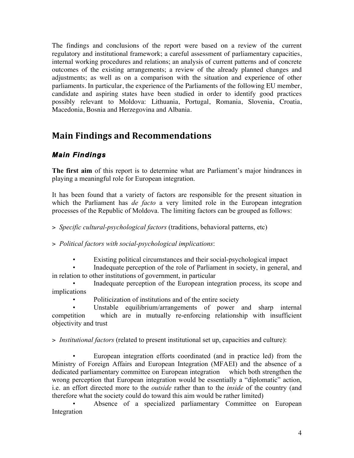The findings and conclusions of the report were based on a review of the current regulatory and institutional framework; a careful assessment of parliamentary capacities, internal working procedures and relations; an analysis of current patterns and of concrete outcomes of the existing arrangements; a review of the already planned changes and adjustments; as well as on a comparison with the situation and experience of other parliaments. In particular, the experience of the Parliaments of the following EU member, candidate and aspiring states have been studied in order to identify good practices possibly relevant to Moldova: Lithuania, Portugal, Romania, Slovenia, Croatia, Macedonia, Bosnia and Herzegovina and Albania.

# **Main Findings and Recommendations**

## *Main Findings*

**The first aim** of this report is to determine what are Parliament's major hindrances in playing a meaningful role for European integration.

It has been found that a variety of factors are responsible for the present situation in which the Parliament has *de facto* a very limited role in the European integration processes of the Republic of Moldova. The limiting factors can be grouped as follows:

> *Specific cultural-psychological factors* (traditions, behavioral patterns, etc)

> *Political factors with social-psychological implications*:

• Existing political circumstances and their social-psychological impact

• Inadequate perception of the role of Parliament in society, in general, and in relation to other institutions of government, in particular

• Inadequate perception of the European integration process, its scope and implications

• Politicization of institutions and of the entire society

Unstable equilibrium/arrangements of power and sharp internal competition which are in mutually re-enforcing relationship with insufficient objectivity and trust

> *Institutional factors* (related to present institutional set up, capacities and culture):

• European integration efforts coordinated (and in practice led) from the Ministry of Foreign Affairs and European Integration (MFAEI) and the absence of a dedicated parliamentary committee on European integration which both strengthen the wrong perception that European integration would be essentially a "diplomatic" action, i.e. an effort directed more to the *outside* rather than to the *inside* of the country (and therefore what the society could do toward this aim would be rather limited)

Absence of a specialized parliamentary Committee on European Integration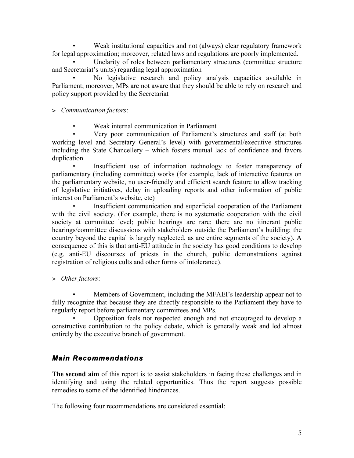• Weak institutional capacities and not (always) clear regulatory framework for legal approximation; moreover, related laws and regulations are poorly implemented.

Unclarity of roles between parliamentary structures (committee structure and Secretariat's units) regarding legal approximation

• No legislative research and policy analysis capacities available in Parliament; moreover, MPs are not aware that they should be able to rely on research and policy support provided by the Secretariat

> *Communication factors*:

• Weak internal communication in Parliament

• Very poor communication of Parliament's structures and staff (at both working level and Secretary General's level) with governmental/executive structures including the State Chancellery – which fosters mutual lack of confidence and favors duplication

Insufficient use of information technology to foster transparency of parliamentary (including committee) works (for example, lack of interactive features on the parliamentary website, no user-friendly and efficient search feature to allow tracking of legislative initiatives, delay in uploading reports and other information of public interest on Parliament's website, etc)

Insufficient communication and superficial cooperation of the Parliament with the civil society. (For example, there is no systematic cooperation with the civil society at committee level; public hearings are rare; there are no itinerant public hearings/committee discussions with stakeholders outside the Parliament's building; the country beyond the capital is largely neglected, as are entire segments of the society). A consequence of this is that anti-EU attitude in the society has good conditions to develop (e.g. anti-EU discourses of priests in the church, public demonstrations against registration of religious cults and other forms of intolerance).

> *Other factors*:

• Members of Government, including the MFAEI's leadership appear not to fully recognize that because they are directly responsible to the Parliament they have to regularly report before parliamentary committees and MPs.

• Opposition feels not respected enough and not encouraged to develop a constructive contribution to the policy debate, which is generally weak and led almost entirely by the executive branch of government.

### *Main Recommendations*

**The second aim** of this report is to assist stakeholders in facing these challenges and in identifying and using the related opportunities. Thus the report suggests possible remedies to some of the identified hindrances.

The following four recommendations are considered essential: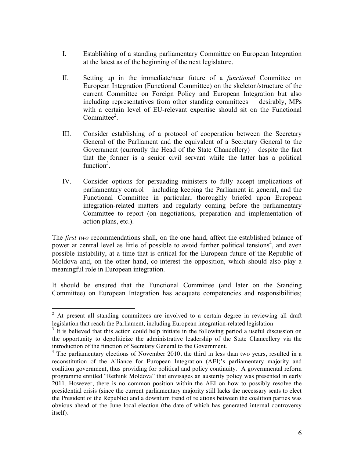- I. Establishing of a standing parliamentary Committee on European Integration at the latest as of the beginning of the next legislature.
- II. Setting up in the immediate/near future of a *functional* Committee on European Integration (Functional Committee) on the skeleton/structure of the current Committee on Foreign Policy and European Integration but also including representatives from other standing committees desirably, MPs with a certain level of EU-relevant expertise should sit on the Functional Committee<sup>2</sup>.
- III. Consider establishing of a protocol of cooperation between the Secretary General of the Parliament and the equivalent of a Secretary General to the Government (currently the Head of the State Chancellery) – despite the fact that the former is a senior civil servant while the latter has a political function<sup>3</sup>.
- IV. Consider options for persuading ministers to fully accept implications of parliamentary control – including keeping the Parliament in general, and the Functional Committee in particular, thoroughly briefed upon European integration-related matters and regularly coming before the parliamentary Committee to report (on negotiations, preparation and implementation of action plans, etc.).

The *first two* recommendations shall, on the one hand, affect the established balance of power at central level as little of possible to avoid further political tensions<sup>4</sup>, and even possible instability, at a time that is critical for the European future of the Republic of Moldova and, on the other hand, co-interest the opposition, which should also play a meaningful role in European integration.

It should be ensured that the Functional Committee (and later on the Standing Committee) on European Integration has adequate competencies and responsibilities;

<sup>&</sup>lt;sup>2</sup> At present all standing committees are involved to a certain degree in reviewing all draft legislation that reach the Parliament, including European integration-related legislation

 $3$  It is believed that this action could help initiate in the following period a useful discussion on the opportunity to depoliticize the administrative leadership of the State Chancellery via the introduction of the function of Secretary General to the Government.<br><sup>4</sup> The parliamentary elections of November 2010, the third in less than two years, resulted in a

reconstitution of the Alliance for European Integration (AEI)'s parliamentary majority and coalition government, thus providing for political and policy continuity. A governmental reform programme entitled "Rethink Moldova" that envisages an austerity policy was presented in early 2011. However, there is no common position within the AEI on how to possibly resolve the presidential crisis (since the current parliamentary majority still lacks the necessary seats to elect the President of the Republic) and a downturn trend of relations between the coalition parties was obvious ahead of the June local election (the date of which has generated internal controversy itself).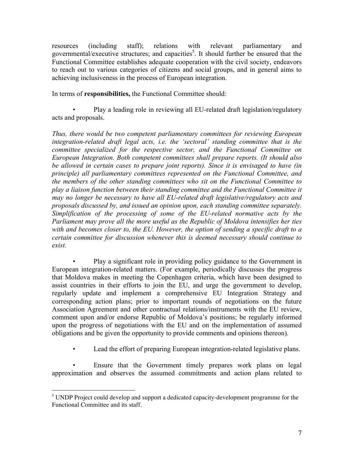resources (including staff); relations with relevant parliamentary and governmental/executive structures; and capacities<sup>5</sup>. It should further be ensured that the Functional Committee establishes adequate cooperation with the civil society, endeavors to reach out to various categories of citizens and social groups, and in general aims to achieving inclusiveness in the process of European integration.

In terms of **responsibilities,** the Functional Committee should:

• Play a leading role in reviewing all EU-related draft legislation/regulatory acts and proposals.

*Thus, there would be two competent parliamentary committees for reviewing European integration-related draft legal acts, i.e. the 'sectoral' standing committee that is the committee specialized for the respective sector, and the Functional Committee on European Integration. Both competent committees shall prepare reports. (It should also be allowed in certain cases to prepare joint reports). Since it is envisaged to have (in principle) all parliamentary committees represented on the Functional Committee, and the members of the other standing committees who sit on the Functional Committee to play a liaison function between their standing committee and the Functional Committee it may no longer be necessary to have all EU-related draft legislative/regulatory acts and proposals discussed by, and issued an opinion upon, each standing committee separately. Simplification of the processing of some of the EU-related normative acts by the Parliament may prove all the more useful as the Republic of Moldova intensifies her ties with and becomes closer to, the EU. However, the option of sending a specific draft to a certain committee for discussion whenever this is deemed necessary should continue to exist.*

• Play a significant role in providing policy guidance to the Government in European integration-related matters. (For example, periodically discusses the progress that Moldova makes in meeting the Copenhagen criteria, which have been designed to assist countries in their efforts to join the EU, and urge the government to develop, regularly update and implement a comprehensive EU Integration Strategy and corresponding action plans; prior to important rounds of negotiations on the future Association Agreement and other contractual relations/instruments with the EU review, comment upon and/or endorse Republic of Moldova's positions; be regularly informed upon the progress of negotiations with the EU and on the implementation of assumed obligations and be given the opportunity to provide comments and opinions thereon).

Lead the effort of preparing European integration-related legislative plans.

Ensure that the Government timely prepares work plans on legal approximation and observes the assumed commitments and action plans related to

<sup>&</sup>lt;sup>5</sup> UNDP Project could develop and support a dedicated capacity-development programme for the Functional Committee and its staff.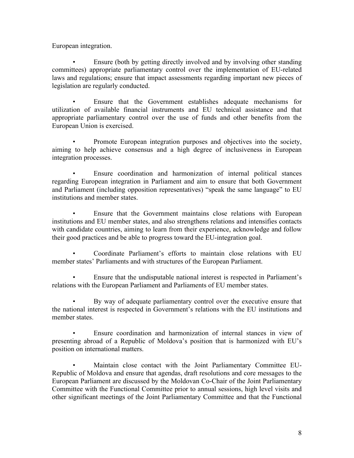European integration.

• Ensure (both by getting directly involved and by involving other standing committees) appropriate parliamentary control over the implementation of EU-related laws and regulations; ensure that impact assessments regarding important new pieces of legislation are regularly conducted.

Ensure that the Government establishes adequate mechanisms for utilization of available financial instruments and EU technical assistance and that appropriate parliamentary control over the use of funds and other benefits from the European Union is exercised.

• Promote European integration purposes and objectives into the society, aiming to help achieve consensus and a high degree of inclusiveness in European integration processes.

• Ensure coordination and harmonization of internal political stances regarding European integration in Parliament and aim to ensure that both Government and Parliament (including opposition representatives) "speak the same language" to EU institutions and member states.

• Ensure that the Government maintains close relations with European institutions and EU member states, and also strengthens relations and intensifies contacts with candidate countries, aiming to learn from their experience, acknowledge and follow their good practices and be able to progress toward the EU-integration goal.

• Coordinate Parliament's efforts to maintain close relations with EU member states' Parliaments and with structures of the European Parliament.

• Ensure that the undisputable national interest is respected in Parliament's relations with the European Parliament and Parliaments of EU member states.

• By way of adequate parliamentary control over the executive ensure that the national interest is respected in Government's relations with the EU institutions and member states.

• Ensure coordination and harmonization of internal stances in view of presenting abroad of a Republic of Moldova's position that is harmonized with EU's position on international matters.

• Maintain close contact with the Joint Parliamentary Committee EU-Republic of Moldova and ensure that agendas, draft resolutions and core messages to the European Parliament are discussed by the Moldovan Co-Chair of the Joint Parliamentary Committee with the Functional Committee prior to annual sessions, high level visits and other significant meetings of the Joint Parliamentary Committee and that the Functional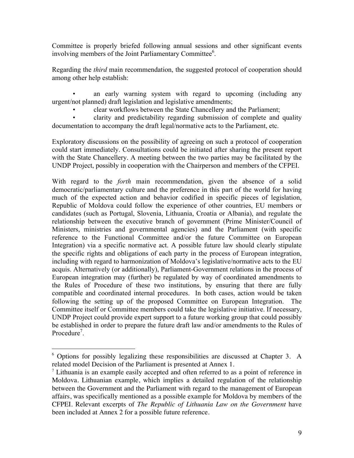Committee is properly briefed following annual sessions and other significant events involving members of the Joint Parliamentary Committee<sup>6</sup>.

Regarding the *third* main recommendation, the suggested protocol of cooperation should among other help establish:

an early warning system with regard to upcoming (including any urgent/not planned) draft legislation and legislative amendments;

• clear workflows between the State Chancellery and the Parliament;

• clarity and predictability regarding submission of complete and quality documentation to accompany the draft legal/normative acts to the Parliament, etc.

Exploratory discussions on the possibility of agreeing on such a protocol of cooperation could start immediately. Consultations could be initiated after sharing the present report with the State Chancellery. A meeting between the two parties may be facilitated by the UNDP Project, possibly in cooperation with the Chairperson and members of the CFPEI.

With regard to the *forth* main recommendation, given the absence of a solid democratic/parliamentary culture and the preference in this part of the world for having much of the expected action and behavior codified in specific pieces of legislation, Republic of Moldova could follow the experience of other countries, EU members or candidates (such as Portugal, Slovenia, Lithuania, Croatia or Albania), and regulate the relationship between the executive branch of government (Prime Minister/Council of Ministers, ministries and governmental agencies) and the Parliament (with specific reference to the Functional Committee and/or the future Committee on European Integration) via a specific normative act. A possible future law should clearly stipulate the specific rights and obligations of each party in the process of European integration, including with regard to harmonization of Moldova's legislative/normative acts to the EU acquis. Alternatively (or additionally), Parliament-Government relations in the process of European integration may (further) be regulated by way of coordinated amendments to the Rules of Procedure of these two institutions, by ensuring that there are fully compatible and coordinated internal procedures. In both cases, action would be taken following the setting up of the proposed Committee on European Integration. The Committee itself or Committee members could take the legislative initiative. If necessary, UNDP Project could provide expert support to a future working group that could possibly be established in order to prepare the future draft law and/or amendments to the Rules of Procedure<sup>7</sup>.

<sup>&</sup>lt;sup>6</sup> Options for possibly legalizing these responsibilities are discussed at Chapter 3. A related model Decision of the Parliament is presented at Annex 1.

 $<sup>7</sup>$  Lithuania is an example easily accepted and often referred to as a point of reference in</sup> Moldova. Lithuanian example, which implies a detailed regulation of the relationship between the Government and the Parliament with regard to the management of European affairs, was specifically mentioned as a possible example for Moldova by members of the CFPEI. Relevant excerpts of *The Republic of Lithuania Law on the Government* have been included at Annex 2 for a possible future reference.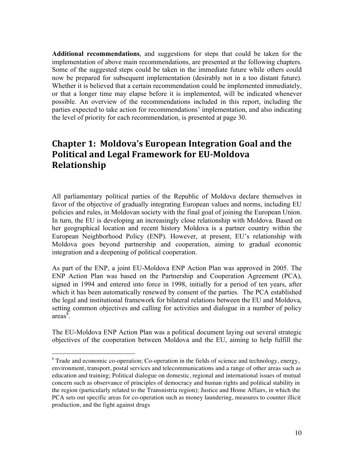**Additional recommendations**, and suggestions for steps that could be taken for the implementation of above main recommendations, are presented at the following chapters. Some of the suggested steps could be taken in the immediate future while others could now be prepared for subsequent implementation (desirably not in a too distant future). Whether it is believed that a certain recommendation could be implemented immediately, or that a longer time may elapse before it is implemented, will be indicated whenever possible. An overview of the recommendations included in this report, including the parties expected to take action for recommendations' implementation, and also indicating the level of priority for each recommendation, is presented at page 30.

# **Chapter 1: Moldova's European Integration Goal and the** Political and Legal Framework for EU-Moldova **Relationship**

All parliamentary political parties of the Republic of Moldova declare themselves in favor of the objective of gradually integrating European values and norms, including EU policies and rules, in Moldovan society with the final goal of joining the European Union. In turn, the EU is developing an increasingly close relationship with Moldova. Based on her geographical location and recent history Moldova is a partner country within the European Neighborhood Policy (ENP). However, at present, EU's relationship with Moldova goes beyond partnership and cooperation, aiming to gradual economic integration and a deepening of political cooperation.

As part of the ENP, a joint EU-Moldova ENP Action Plan was approved in 2005. The ENP Action Plan was based on the Partnership and Cooperation Agreement (PCA), signed in 1994 and entered into force in 1998, initially for a period of ten years, after which it has been automatically renewed by consent of the parties. The PCA established the legal and institutional framework for bilateral relations between the EU and Moldova, setting common objectives and calling for activities and dialogue in a number of policy areas $\overline{\mathscr{S}}$ .

The EU-Moldova ENP Action Plan was a political document laying out several strategic objectives of the cooperation between Moldova and the EU, aiming to help fulfill the

<sup>&</sup>lt;sup>8</sup> Trade and economic co-operation; Co-operation in the fields of science and technology, energy, environment, transport, postal services and telecommunications and a range of other areas such as education and training; Political dialogue on domestic, regional and international issues of mutual concern such as observance of principles of democracy and human rights and political stability in the region (particularly related to the Transnistria region); Justice and Home Affairs, in which the PCA sets out specific areas for co-operation such as money laundering, measures to counter illicit production, and the fight against drugs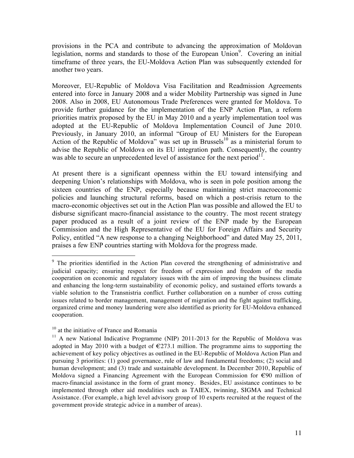provisions in the PCA and contribute to advancing the approximation of Moldovan legislation, norms and standards to those of the European Union<sup>9</sup>. Covering an initial timeframe of three years, the EU-Moldova Action Plan was subsequently extended for another two years.

Moreover, EU-Republic of Moldova Visa Facilitation and Readmission Agreements entered into force in January 2008 and a wider Mobility Partnership was signed in June 2008. Also in 2008, EU Autonomous Trade Preferences were granted for Moldova. To provide further guidance for the implementation of the ENP Action Plan, a reform priorities matrix proposed by the EU in May 2010 and a yearly implementation tool was adopted at the EU-Republic of Moldova Implementation Council of June 2010. Previously, in January 2010, an informal "Group of EU Ministers for the European Action of the Republic of Moldova" was set up in Brussels<sup>10</sup> as a ministerial forum to advise the Republic of Moldova on its EU integration path. Consequently, the country was able to secure an unprecedented level of assistance for the next period<sup>11</sup>.

At present there is a significant openness within the EU toward intensifying and deepening Union's relationships with Moldova, who is seen in pole position among the sixteen countries of the ENP, especially because maintaining strict macroeconomic policies and launching structural reforms, based on which a post-crisis return to the macro-economic objectives set out in the Action Plan was possible and allowed the EU to disburse significant macro-financial assistance to the country. The most recent strategy paper produced as a result of a joint review of the ENP made by the European Commission and the High Representative of the EU for Foreign Affairs and Security Policy, entitled "A new response to a changing Neighborhood" and dated May 25, 2011, praises a few ENP countries starting with Moldova for the progress made.

<sup>&</sup>lt;sup>9</sup> The priorities identified in the Action Plan covered the strengthening of administrative and judicial capacity; ensuring respect for freedom of expression and freedom of the media cooperation on economic and regulatory issues with the aim of improving the business climate and enhancing the long-term sustainability of economic policy, and sustained efforts towards a viable solution to the Transnistria conflict. Further collaboration on a number of cross cutting issues related to border management, management of migration and the fight against trafficking, organized crime and money laundering were also identified as priority for EU-Moldova enhanced cooperation.

<sup>&</sup>lt;sup>10</sup> at the initiative of France and Romania

 $11$  A new National Indicative Programme (NIP) 2011-2013 for the Republic of Moldova was adopted in May 2010 with a budget of  $\epsilon$ 273.1 million. The programme aims to supporting the achievement of key policy objectives as outlined in the EU-Republic of Moldova Action Plan and pursuing 3 priorities: (1) good governance, rule of law and fundamental freedoms; (2) social and human development; and (3) trade and sustainable development. In December 2010, Republic of Moldova signed a Financing Agreement with the European Commission for €90 million of macro-financial assistance in the form of grant money. Besides, EU assistance continues to be implemented through other aid modalities such as TAIEX, twinning, SIGMA and Technical Assistance. (For example, a high level advisory group of 10 experts recruited at the request of the government provide strategic advice in a number of areas).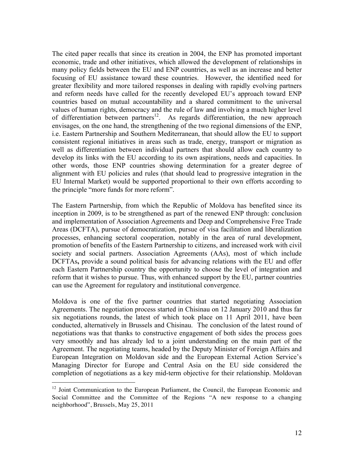The cited paper recalls that since its creation in 2004, the ENP has promoted important economic, trade and other initiatives, which allowed the development of relationships in many policy fields between the EU and ENP countries, as well as an increase and better focusing of EU assistance toward these countries. However, the identified need for greater flexibility and more tailored responses in dealing with rapidly evolving partners and reform needs have called for the recently developed EU's approach toward ENP countries based on mutual accountability and a shared commitment to the universal values of human rights, democracy and the rule of law and involving a much higher level of differentiation between partners<sup>12</sup>. As regards differentiation, the new approach envisages, on the one hand, the strengthening of the two regional dimensions of the ENP, i.e. Eastern Partnership and Southern Mediterranean, that should allow the EU to support consistent regional initiatives in areas such as trade, energy, transport or migration as well as differentiation between individual partners that should allow each country to develop its links with the EU according to its own aspirations, needs and capacities. In other words, those ENP countries showing determination for a greater degree of alignment with EU policies and rules (that should lead to progressive integration in the EU Internal Market) would be supported proportional to their own efforts according to the principle "more funds for more reform".

The Eastern Partnership, from which the Republic of Moldova has benefited since its inception in 2009, is to be strengthened as part of the renewed ENP through: conclusion and implementation of Association Agreements and Deep and Comprehensive Free Trade Areas (DCFTA), pursue of democratization, pursue of visa facilitation and liberalization processes, enhancing sectoral cooperation, notably in the area of rural development, promotion of benefits of the Eastern Partnership to citizens, and increased work with civil society and social partners. Association Agreements (AAs), most of which include DCFTAs**,** provide a sound political basis for advancing relations with the EU and offer each Eastern Partnership country the opportunity to choose the level of integration and reform that it wishes to pursue. Thus, with enhanced support by the EU, partner countries can use the Agreement for regulatory and institutional convergence.

Moldova is one of the five partner countries that started negotiating Association Agreements. The negotiation process started in Chisinau on 12 January 2010 and thus far six negotiations rounds, the latest of which took place on 11 April 2011, have been conducted, alternatively in Brussels and Chisinau. The conclusion of the latest round of negotiations was that thanks to constructive engagement of both sides the process goes very smoothly and has already led to a joint understanding on the main part of the Agreement. The negotiating teams, headed by the Deputy Minister of Foreign Affairs and European Integration on Moldovan side and the European External Action Service's Managing Director for Europe and Central Asia on the EU side considered the completion of negotiations as a key mid-term objective for their relationship. Moldovan

<sup>&</sup>lt;sup>12</sup> Joint Communication to the European Parliament, the Council, the European Economic and Social Committee and the Committee of the Regions "A new response to a changing neighborhood", Brussels, May 25, 2011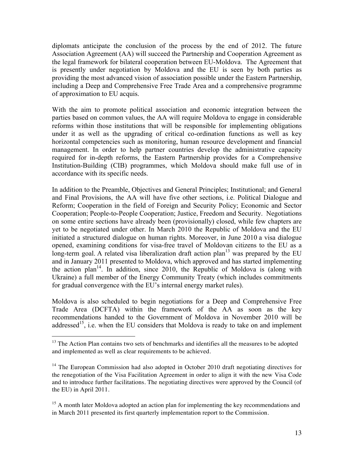diplomats anticipate the conclusion of the process by the end of 2012. The future Association Agreement (AA) will succeed the Partnership and Cooperation Agreement as the legal framework for bilateral cooperation between EU-Moldova. The Agreement that is presently under negotiation by Moldova and the EU is seen by both parties as providing the most advanced vision of association possible under the Eastern Partnership, including a Deep and Comprehensive Free Trade Area and a comprehensive programme of approximation to EU acquis.

With the aim to promote political association and economic integration between the parties based on common values, the AA will require Moldova to engage in considerable reforms within those institutions that will be responsible for implementing obligations under it as well as the upgrading of critical co-ordination functions as well as key horizontal competencies such as monitoring, human resource development and financial management. In order to help partner countries develop the administrative capacity required for in-depth reforms, the Eastern Partnership provides for a Comprehensive Institution-Building (CIB) programmes, which Moldova should make full use of in accordance with its specific needs.

In addition to the Preamble, Objectives and General Principles; Institutional; and General and Final Provisions, the AA will have five other sections, i.e. Political Dialogue and Reform; Cooperation in the field of Foreign and Security Policy; Economic and Sector Cooperation; People-to-People Cooperation; Justice, Freedom and Security. Negotiations on some entire sections have already been (provisionally) closed, while few chapters are yet to be negotiated under other. In March 2010 the Republic of Moldova and the EU initiated a structured dialogue on human rights. Moreover, in June 2010 a visa dialogue opened, examining conditions for visa-free travel of Moldovan citizens to the EU as a long-term goal. A related visa liberalization draft action plan<sup>13</sup> was prepared by the EU and in January 2011 presented to Moldova, which approved and has started implementing the action plan<sup>14</sup>. In addition, since 2010, the Republic of Moldova is (along with Ukraine) a full member of the Energy Community Treaty (which includes commitments for gradual convergence with the EU's internal energy market rules).

Moldova is also scheduled to begin negotiations for a Deep and Comprehensive Free Trade Area (DCFTA) within the framework of the AA as soon as the key recommendations handed to the Government of Moldova in November 2010 will be addressed<sup>15</sup>, i.e. when the EU considers that Moldova is ready to take on and implement

 $13$  The Action Plan contains two sets of benchmarks and identifies all the measures to be adopted and implemented as well as clear requirements to be achieved.

 $14$  The European Commission had also adopted in October 2010 draft negotiating directives for the renegotiation of the Visa Facilitation Agreement in order to align it with the new Visa Code and to introduce further facilitations. The negotiating directives were approved by the Council (of the EU) in April 2011.

<sup>&</sup>lt;sup>15</sup> A month later Moldova adopted an action plan for implementing the key recommendations and in March 2011 presented its first quarterly implementation report to the Commission.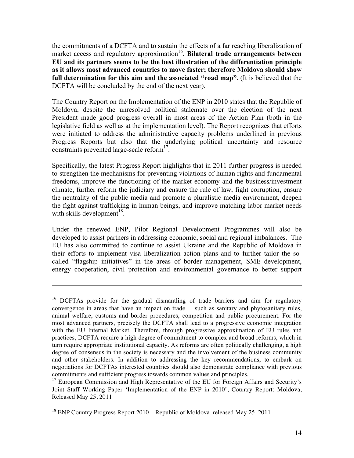the commitments of a DCFTA and to sustain the effects of a far reaching liberalization of market access and regulatory approximation<sup>16</sup>. **Bilateral trade arrangements between EU and its partners seems to be the best illustration of the differentiation principle as it allows most advanced countries to move faster; therefore Moldova should show full determination for this aim and the associated "road map"**. (It is believed that the DCFTA will be concluded by the end of the next year).

The Country Report on the Implementation of the ENP in 2010 states that the Republic of Moldova, despite the unresolved political stalemate over the election of the next President made good progress overall in most areas of the Action Plan (both in the legislative field as well as at the implementation level). The Report recognizes that efforts were initiated to address the administrative capacity problems underlined in previous Progress Reports but also that the underlying political uncertainty and resource constraints prevented large-scale reform $17$ .

Specifically, the latest Progress Report highlights that in 2011 further progress is needed to strengthen the mechanisms for preventing violations of human rights and fundamental freedoms, improve the functioning of the market economy and the business/investment climate, further reform the judiciary and ensure the rule of law, fight corruption, ensure the neutrality of the public media and promote a pluralistic media environment, deepen the fight against trafficking in human beings, and improve matching labor market needs with skills development<sup>18</sup>.

Under the renewed ENP, Pilot Regional Development Programmes will also be developed to assist partners in addressing economic, social and regional imbalances. The EU has also committed to continue to assist Ukraine and the Republic of Moldova in their efforts to implement visa liberalization action plans and to further tailor the socalled "flagship initiatives" in the areas of border management, SME development, energy cooperation, civil protection and environmental governance to better support

 $\overline{a}$ 

<sup>&</sup>lt;sup>16</sup> DCFTAs provide for the gradual dismantling of trade barriers and aim for regulatory convergence in areas that have an impact on trade such as sanitary and phytosanitary rules, animal welfare, customs and border procedures, competition and public procurement. For the most advanced partners, precisely the DCFTA shall lead to a progressive economic integration with the EU Internal Market. Therefore, through progressive approximation of EU rules and practices, DCFTA require a high degree of commitment to complex and broad reforms, which in turn require appropriate institutional capacity. As reforms are often politically challenging, a high degree of consensus in the society is necessary and the involvement of the business community and other stakeholders. In addition to addressing the key recommendations, to embark on negotiations for DCFTAs interested countries should also demonstrate compliance with previous commitments and sufficient progress towards common values and principles.

<sup>&</sup>lt;sup>17</sup> European Commission and High Representative of the EU for Foreign Affairs and Security's Joint Staff Working Paper 'Implementation of the ENP in 2010', Country Report: Moldova, Released May 25, 2011

<sup>&</sup>lt;sup>18</sup> ENP Country Progress Report 2010 – Republic of Moldova, released May 25, 2011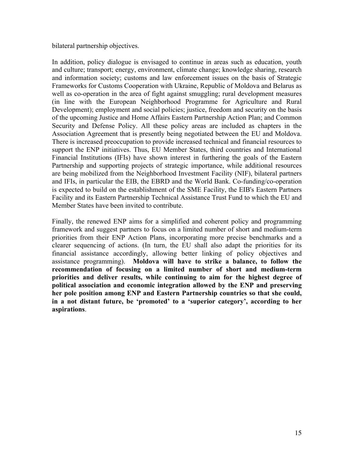bilateral partnership objectives.

In addition, policy dialogue is envisaged to continue in areas such as education, youth and culture; transport; energy, environment, climate change; knowledge sharing, research and information society; customs and law enforcement issues on the basis of Strategic Frameworks for Customs Cooperation with Ukraine, Republic of Moldova and Belarus as well as co-operation in the area of fight against smuggling; rural development measures (in line with the European Neighborhood Programme for Agriculture and Rural Development); employment and social policies; justice, freedom and security on the basis of the upcoming Justice and Home Affairs Eastern Partnership Action Plan; and Common Security and Defense Policy. All these policy areas are included as chapters in the Association Agreement that is presently being negotiated between the EU and Moldova. There is increased preoccupation to provide increased technical and financial resources to support the ENP initiatives. Thus, EU Member States, third countries and International Financial Institutions (IFIs) have shown interest in furthering the goals of the Eastern Partnership and supporting projects of strategic importance, while additional resources are being mobilized from the Neighborhood Investment Facility (NIF), bilateral partners and IFIs, in particular the EIB, the EBRD and the World Bank. Co-funding/co-operation is expected to build on the establishment of the SME Facility, the EIB's Eastern Partners Facility and its Eastern Partnership Technical Assistance Trust Fund to which the EU and Member States have been invited to contribute.

Finally, the renewed ENP aims for a simplified and coherent policy and programming framework and suggest partners to focus on a limited number of short and medium-term priorities from their ENP Action Plans, incorporating more precise benchmarks and a clearer sequencing of actions. (In turn, the EU shall also adapt the priorities for its financial assistance accordingly, allowing better linking of policy objectives and assistance programming). **Moldova will have to strike a balance, to follow the recommendation of focusing on a limited number of short and medium-term priorities and deliver results, while continuing to aim for the highest degree of political association and economic integration allowed by the ENP and preserving her pole position among ENP and Eastern Partnership countries so that she could, in a not distant future, be 'promoted' to a 'superior category', according to her aspirations**.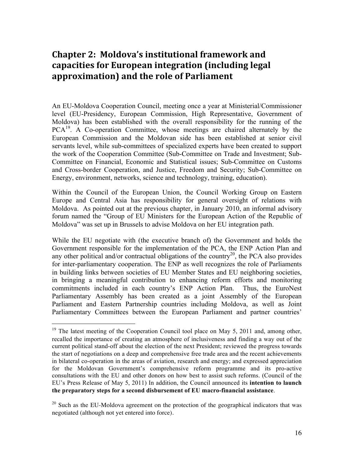# **Chapter 2: Moldova's institutional framework and** capacities for European integration (including legal) approximation) and the role of Parliament

An EU-Moldova Cooperation Council, meeting once a year at Ministerial/Commissioner level (EU-Presidency, European Commission, High Representative, Government of Moldova) has been established with the overall responsibility for the running of the PCA<sup>19</sup>. A Co-operation Committee, whose meetings are chaired alternately by the European Commission and the Moldovan side has been established at senior civil servants level, while sub-committees of specialized experts have been created to support the work of the Cooperation Committee (Sub-Committee on Trade and Investment; Sub-Committee on Financial, Economic and Statistical issues; Sub-Committee on Customs and Cross-border Cooperation, and Justice, Freedom and Security; Sub-Committee on Energy, environment, networks, science and technology, training, education).

Within the Council of the European Union, the Council Working Group on Eastern Europe and Central Asia has responsibility for general oversight of relations with Moldova. As pointed out at the previous chapter, in January 2010, an informal advisory forum named the "Group of EU Ministers for the European Action of the Republic of Moldova" was set up in Brussels to advise Moldova on her EU integration path.

While the EU negotiate with (the executive branch of) the Government and holds the Government responsible for the implementation of the PCA, the ENP Action Plan and any other political and/or contractual obligations of the country<sup>20</sup>, the PCA also provides for inter-parliamentary cooperation. The ENP as well recognizes the role of Parliaments in building links between societies of EU Member States and EU neighboring societies, in bringing a meaningful contribution to enhancing reform efforts and monitoring commitments included in each country's ENP Action Plan. Thus, the EuroNest Parliamentary Assembly has been created as a joint Assembly of the European Parliament and Eastern Partnership countries including Moldova, as well as Joint Parliamentary Committees between the European Parliament and partner countries'

<sup>&</sup>lt;sup>19</sup> The latest meeting of the Cooperation Council tool place on May 5, 2011 and, among other, recalled the importance of creating an atmosphere of inclusiveness and finding a way out of the current political stand-off about the election of the next President; reviewed the progress towards the start of negotiations on a deep and comprehensive free trade area and the recent achievements in bilateral co-operation in the areas of aviation, research and energy; and expressed appreciation for the Moldovan Government's comprehensive reform programme and its pro-active consultations with the EU and other donors on how best to assist such reforms. (Council of the EU's Press Release of May 5, 2011) In addition, the Council announced its **intention to launch the preparatory steps for a second disbursement of EU macro-financial assistance**.

 $^{20}$  Such as the EU-Moldova agreement on the protection of the geographical indicators that was negotiated (although not yet entered into force).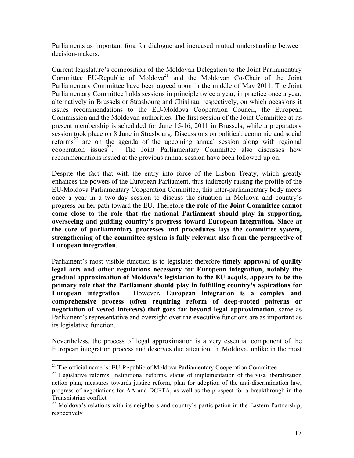Parliaments as important fora for dialogue and increased mutual understanding between decision-makers.

Current legislature's composition of the Moldovan Delegation to the Joint Parliamentary Committee EU-Republic of Moldova<sup>21</sup> and the Moldovan Co-Chair of the Joint Parliamentary Committee have been agreed upon in the middle of May 2011. The Joint Parliamentary Committee holds sessions in principle twice a year, in practice once a year, alternatively in Brussels or Strasbourg and Chisinau, respectively, on which occasions it issues recommendations to the EU-Moldova Cooperation Council, the European Commission and the Moldovan authorities. The first session of the Joint Committee at its present membership is scheduled for June 15-16, 2011 in Brussels, while a preparatory session took place on 8 June in Strasbourg. Discussions on political, economic and social reforms<sup>22</sup> are on the agenda of the upcoming annual session along with regional cooperation issues $^{23}$ . The Joint Parliamentary Committee also discusses how recommendations issued at the previous annual session have been followed-up on.

Despite the fact that with the entry into force of the Lisbon Treaty, which greatly enhances the powers of the European Parliament, thus indirectly raising the profile of the EU-Moldova Parliamentary Cooperation Committee, this inter-parliamentary body meets once a year in a two-day session to discuss the situation in Moldova and country's progress on her path toward the EU. Therefore **the role of the Joint Committee cannot come close to the role that the national Parliament should play in supporting, overseeing and guiding country's progress toward European integration. Since at the core of parliamentary processes and procedures lays the committee system, strengthening of the committee system is fully relevant also from the perspective of European integration**.

Parliament's most visible function is to legislate; therefore **timely approval of quality legal acts and other regulations necessary for European integration, notably the gradual approximation of Moldova's legislation to the EU acquis, appears to be the primary role that the Parliament should play in fulfilling country's aspirations for European integration**. However**, European integration is a complex and comprehensive process (often requiring reform of deep-rooted patterns or negotiation of vested interests) that goes far beyond legal approximation**, same as Parliament's representative and oversight over the executive functions are as important as its legislative function.

Nevertheless, the process of legal approximation is a very essential component of the European integration process and deserves due attention. In Moldova, unlike in the most

 $21$  The official name is: EU-Republic of Moldova Parliamentary Cooperation Committee

 $22$  Legislative reforms, institutional reforms, status of implementation of the visa liberalization action plan, measures towards justice reform, plan for adoption of the anti-discrimination law, progress of negotiations for AA and DCFTA, as well as the prospect for a breakthrough in the Transnistrian conflict

<sup>&</sup>lt;sup>23</sup> Moldova's relations with its neighbors and country's participation in the Eastern Partnership, respectively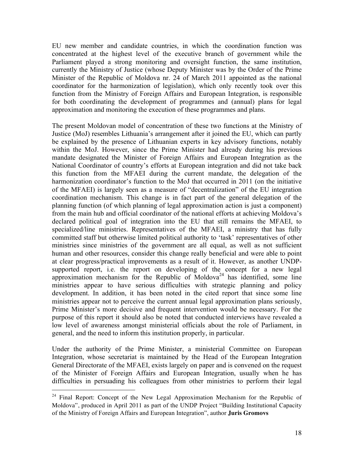EU new member and candidate countries, in which the coordination function was concentrated at the highest level of the executive branch of government while the Parliament played a strong monitoring and oversight function, the same institution, currently the Ministry of Justice (whose Deputy Minister was by the Order of the Prime Minister of the Republic of Moldova nr. 24 of March 2011 appointed as the national coordinator for the harmonization of legislation), which only recently took over this function from the Ministry of Foreign Affairs and European Integration, is responsible for both coordinating the development of programmes and (annual) plans for legal approximation and monitoring the execution of these programmes and plans.

The present Moldovan model of concentration of these two functions at the Ministry of Justice (MoJ) resembles Lithuania's arrangement after it joined the EU, which can partly be explained by the presence of Lithuanian experts in key advisory functions, notably within the MoJ. However, since the Prime Minister had already during his previous mandate designated the Minister of Foreign Affairs and European Integration as the National Coordinator of country's efforts at European integration and did not take back this function from the MFAEI during the current mandate, the delegation of the harmonization coordinator's function to the MoJ that occurred in 2011 (on the initiative of the MFAEI) is largely seen as a measure of "decentralization" of the EU integration coordination mechanism. This change is in fact part of the general delegation of the planning function (of which planning of legal approximation action is just a component) from the main hub and official coordinator of the national efforts at achieving Moldova's declared political goal of integration into the EU that still remains the MFAEI, to specialized/line ministries. Representatives of the MFAEI, a ministry that has fully committed staff but otherwise limited political authority to 'task' representatives of other ministries since ministries of the government are all equal, as well as not sufficient human and other resources, consider this change really beneficial and were able to point at clear progress/practical improvements as a result of it. However, as another UNDPsupported report, i.e. the report on developing of the concept for a new legal approximation mechanism for the Republic of Moldova<sup>24</sup> has identified, some line ministries appear to have serious difficulties with strategic planning and policy development. In addition, it has been noted in the cited report that since some line ministries appear not to perceive the current annual legal approximation plans seriously, Prime Minister's more decisive and frequent intervention would be necessary. For the purpose of this report it should also be noted that conducted interviews have revealed a low level of awareness amongst ministerial officials about the role of Parliament, in general, and the need to inform this institution properly, in particular.

Under the authority of the Prime Minister, a ministerial Committee on European Integration, whose secretariat is maintained by the Head of the European Integration General Directorate of the MFAEI, exists largely on paper and is convened on the request of the Minister of Foreign Affairs and European Integration, usually when he has difficulties in persuading his colleagues from other ministries to perform their legal

<sup>&</sup>lt;sup>24</sup> Final Report: Concept of the New Legal Approximation Mechanism for the Republic of Moldova", produced in April 2011 as part of the UNDP Project "Building Institutional Capacity of the Ministry of Foreign Affairs and European Integration", author **Juris Gromovs**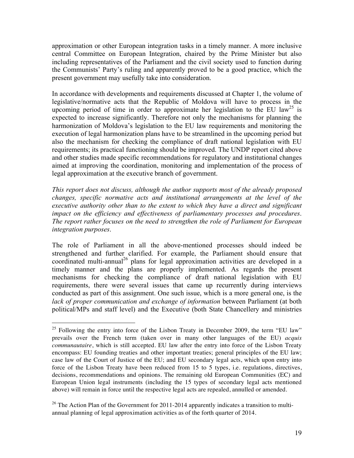approximation or other European integration tasks in a timely manner. A more inclusive central Committee on European Integration, chaired by the Prime Minister but also including representatives of the Parliament and the civil society used to function during the Communists' Party's ruling and apparently proved to be a good practice, which the present government may usefully take into consideration.

In accordance with developments and requirements discussed at Chapter 1, the volume of legislative/normative acts that the Republic of Moldova will have to process in the upcoming period of time in order to approximate her legislation to the EU law<sup>25</sup> is expected to increase significantly. Therefore not only the mechanisms for planning the harmonization of Moldova's legislation to the EU law requirements and monitoring the execution of legal harmonization plans have to be streamlined in the upcoming period but also the mechanism for checking the compliance of draft national legislation with EU requirements; its practical functioning should be improved. The UNDP report cited above and other studies made specific recommendations for regulatory and institutional changes aimed at improving the coordination, monitoring and implementation of the process of legal approximation at the executive branch of government.

*This report does not discuss, although the author supports most of the already proposed changes, specific normative acts and institutional arrangements at the level of the executive authority other than to the extent to which they have a direct and significant impact on the efficiency and effectiveness of parliamentary processes and procedures*. *The report rather focuses on the need to strengthen the role of Parliament for European integration purposes*.

The role of Parliament in all the above-mentioned processes should indeed be strengthened and further clarified. For example, the Parliament should ensure that coordinated multi-annual<sup>26</sup> plans for legal approximation activities are developed in a timely manner and the plans are properly implemented. As regards the present mechanisms for checking the compliance of draft national legislation with EU requirements, there were several issues that came up recurrently during interviews conducted as part of this assignment. One such issue, which is a more general one, is the *lack of proper communication and exchange of information* between Parliament (at both political/MPs and staff level) and the Executive (both State Chancellery and ministries

 $25$  Following the entry into force of the Lisbon Treaty in December 2009, the term "EU law" prevails over the French term (taken over in many other languages of the EU) *acquis communautaire*, which is still accepted. EU law after the entry into force of the Lisbon Treaty encompass: EU founding treaties and other important treaties; general principles of the EU law; case law of the Court of Justice of the EU; and EU secondary legal acts, which upon entry into force of the Lisbon Treaty have been reduced from 15 to 5 types, i.e. regulations, directives, decisions, recommendations and opinions. The remaining old European Communities (EC) and European Union legal instruments (including the 15 types of secondary legal acts mentioned above) will remain in force until the respective legal acts are repealed, annulled or amended.

 $26$  The Action Plan of the Government for 2011-2014 apparently indicates a transition to multiannual planning of legal approximation activities as of the forth quarter of 2014.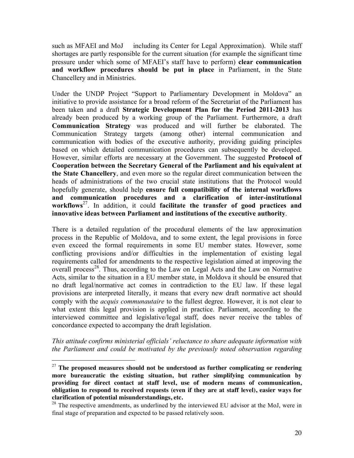such as MFAEI and MoJ including its Center for Legal Approximation). While staff shortages are partly responsible for the current situation (for example the significant time pressure under which some of MFAEI's staff have to perform) **clear communication and workflow procedures should be put in place** in Parliament, in the State Chancellery and in Ministries.

Under the UNDP Project "Support to Parliamentary Development in Moldova" an initiative to provide assistance for a broad reform of the Secretariat of the Parliament has been taken and a draft **Strategic Development Plan for the Period 2011-2013** has already been produced by a working group of the Parliament. Furthermore, a draft **Communication Strategy** was produced and will further be elaborated. The Communication Strategy targets (among other) internal communication and communication with bodies of the executive authority, providing guiding principles based on which detailed communication procedures can subsequently be developed. However, similar efforts are necessary at the Government. The suggested **Protocol of Cooperation between the Secretary General of the Parliament and his equivalent at the State Chancellery**, and even more so the regular direct communication between the heads of administrations of the two crucial state institutions that the Protocol would hopefully generate, should help **ensure full compatibility of the internal workflows and communication procedures and a clarification of inter-institutional workflows**27. In addition, it could **facilitate the transfer of good practices and innovative ideas between Parliament and institutions of the executive authority**.

There is a detailed regulation of the procedural elements of the law approximation process in the Republic of Moldova, and to some extent, the legal provisions in force even exceed the formal requirements in some EU member states. However, some conflicting provisions and/or difficulties in the implementation of existing legal requirements called for amendments to the respective legislation aimed at improving the overall process<sup>28</sup>. Thus, according to the Law on Legal Acts and the Law on Normative Acts, similar to the situation in a EU member state, in Moldova it should be ensured that no draft legal/normative act comes in contradiction to the EU law. If these legal provisions are interpreted literally, it means that every new draft normative act should comply with the *acquis communautaire* to the fullest degree. However, it is not clear to what extent this legal provision is applied in practice. Parliament, according to the interviewed committee and legislative/legal staff, does never receive the tables of concordance expected to accompany the draft legislation.

*This attitude confirms ministerial officials' reluctance to share adequate information with the Parliament and could be motivated by the previously noted observation regarding* 

<sup>&</sup>lt;sup>27</sup> The proposed measures should not be understood as further complicating or rendering **more bureaucratic the existing situation, but rather simplifying communication by providing for direct contact at staff level, use of modern means of communication, obligation to respond to received requests (even if they are at staff level), easier ways for clarification of potential misunderstandings, etc.** 

 $28$  The respective amendments, as underlined by the interviewed EU advisor at the MoJ, were in final stage of preparation and expected to be passed relatively soon.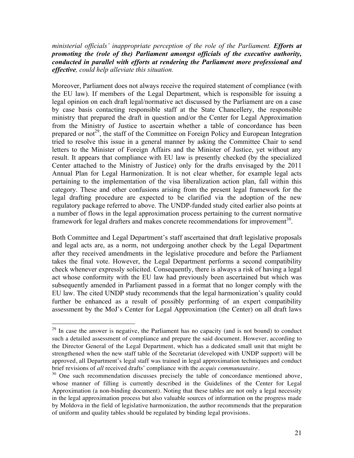*ministerial officials' inappropriate perception of the role of the Parliament. Efforts at promoting the (role of the) Parliament amongst officials of the executive authority, conducted in parallel with efforts at rendering the Parliament more professional and effective, could help alleviate this situation.* 

Moreover, Parliament does not always receive the required statement of compliance (with the EU law). If members of the Legal Department, which is responsible for issuing a legal opinion on each draft legal/normative act discussed by the Parliament are on a case by case basis contacting responsible staff at the State Chancellery, the responsible ministry that prepared the draft in question and/or the Center for Legal Approximation from the Ministry of Justice to ascertain whether a table of concordance has been prepared or not<sup>29</sup>, the staff of the Committee on Foreign Policy and European Integration tried to resolve this issue in a general manner by asking the Committee Chair to send letters to the Minister of Foreign Affairs and the Minister of Justice, yet without any result. It appears that compliance with EU law is presently checked (by the specialized Center attached to the Ministry of Justice) only for the drafts envisaged by the 2011 Annual Plan for Legal Harmonization. It is not clear whether, for example legal acts pertaining to the implementation of the visa liberalization action plan, fall within this category. These and other confusions arising from the present legal framework for the legal drafting procedure are expected to be clarified via the adoption of the new regulatory package referred to above. The UNDP-funded study cited earlier also points at a number of flows in the legal approximation process pertaining to the current normative framework for legal drafters and makes concrete recommendations for improvement<sup>30</sup>.

Both Committee and Legal Department's staff ascertained that draft legislative proposals and legal acts are, as a norm, not undergoing another check by the Legal Department after they received amendments in the legislative procedure and before the Parliament takes the final vote. However, the Legal Department performs a second compatibility check whenever expressly solicited. Consequently, there is always a risk of having a legal act whose conformity with the EU law had previously been ascertained but which was subsequently amended in Parliament passed in a format that no longer comply with the EU law. The cited UNDP study recommends that the legal harmonization's quality could further be enhanced as a result of possibly performing of an expert compatibility assessment by the MoJ's Center for Legal Approximation (the Center) on all draft laws

 $29$  In case the answer is negative, the Parliament has no capacity (and is not bound) to conduct such a detailed assessment of compliance and prepare the said document. However, according to the Director General of the Legal Department, which has a dedicated small unit that might be strengthened when the new staff table of the Secretariat (developed with UNDP support) will be approved, all Department's legal staff was trained in legal approximation techniques and conduct<br>brief revisions of all received drafts' compliance with the acquis communautaire.

<sup>&</sup>lt;sup>30</sup> One such recommendation discusses precisely the table of concordance mentioned above, whose manner of filling is currently described in the Guidelines of the Center for Legal Approximation (a non-binding document). Noting that these tables are not only a legal necessity in the legal approximation process but also valuable sources of information on the progress made by Moldova in the field of legislative harmonization, the author recommends that the preparation of uniform and quality tables should be regulated by binding legal provisions.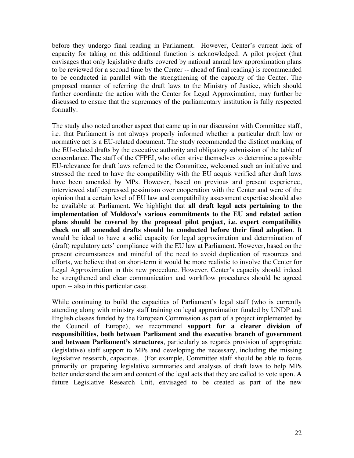before they undergo final reading in Parliament. However, Center's current lack of capacity for taking on this additional function is acknowledged. A pilot project (that envisages that only legislative drafts covered by national annual law approximation plans to be reviewed for a second time by the Center -- ahead of final reading) is recommended to be conducted in parallel with the strengthening of the capacity of the Center. The proposed manner of referring the draft laws to the Ministry of Justice, which should further coordinate the action with the Center for Legal Approximation, may further be discussed to ensure that the supremacy of the parliamentary institution is fully respected formally.

The study also noted another aspect that came up in our discussion with Committee staff, i.e. that Parliament is not always properly informed whether a particular draft law or normative act is a EU-related document. The study recommended the distinct marking of the EU-related drafts by the executive authority and obligatory submission of the table of concordance. The staff of the CFPEI, who often strive themselves to determine a possible EU-relevance for draft laws referred to the Committee, welcomed such an initiative and stressed the need to have the compatibility with the EU acquis verified after draft laws have been amended by MPs. However, based on previous and present experience, interviewed staff expressed pessimism over cooperation with the Center and were of the opinion that a certain level of EU law and compatibility assessment expertise should also be available at Parliament. We highlight that **all draft legal acts pertaining to the implementation of Moldova's various commitments to the EU and related action plans should be covered by the proposed pilot project, i.e. expert compatibility check on all amended drafts should be conducted before their final adoption**. It would be ideal to have a solid capacity for legal approximation and determination of (draft) regulatory acts' compliance with the EU law at Parliament. However, based on the present circumstances and mindful of the need to avoid duplication of resources and efforts, we believe that on short-term it would be more realistic to involve the Center for Legal Approximation in this new procedure. However, Center's capacity should indeed be strengthened and clear communication and workflow procedures should be agreed upon -- also in this particular case.

While continuing to build the capacities of Parliament's legal staff (who is currently attending along with ministry staff training on legal approximation funded by UNDP and English classes funded by the European Commission as part of a project implemented by the Council of Europe), we recommend **support for a clearer division of responsibilities, both between Parliament and the executive branch of government and between Parliament's structures**, particularly as regards provision of appropriate (legislative) staff support to MPs and developing the necessary, including the missing legislative research, capacities. (For example, Committee staff should be able to focus primarily on preparing legislative summaries and analyses of draft laws to help MPs better understand the aim and content of the legal acts that they are called to vote upon. A future Legislative Research Unit, envisaged to be created as part of the new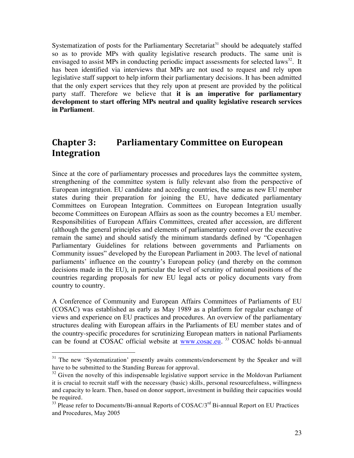Systematization of posts for the Parliamentary Secretariat<sup>31</sup> should be adequately staffed so as to provide MPs with quality legislative research products. The same unit is envisaged to assist MPs in conducting periodic impact assessments for selected laws<sup>32</sup>. It has been identified via interviews that MPs are not used to request and rely upon legislative staff support to help inform their parliamentary decisions. It has been admitted that the only expert services that they rely upon at present are provided by the political party staff. Therefore we believe that **it is an imperative for parliamentary development to start offering MPs neutral and quality legislative research services in Parliament**.

# **Chapter 3: Parliamentary Committee on European Integration**

Since at the core of parliamentary processes and procedures lays the committee system, strengthening of the committee system is fully relevant also from the perspective of European integration. EU candidate and acceding countries, the same as new EU member states during their preparation for joining the EU, have dedicated parliamentary Committees on European Integration. Committees on European Integration usually become Committees on European Affairs as soon as the country becomes a EU member. Responsibilities of European Affairs Committees, created after accession, are different (although the general principles and elements of parliamentary control over the executive remain the same) and should satisfy the minimum standards defined by "Copenhagen Parliamentary Guidelines for relations between governments and Parliaments on Community issues" developed by the European Parliament in 2003. The level of national parliaments' influence on the country's European policy (and thereby on the common decisions made in the EU), in particular the level of scrutiny of national positions of the countries regarding proposals for new EU legal acts or policy documents vary from country to country.

A Conference of Community and European Affairs Committees of Parliaments of EU (COSAC) was established as early as May 1989 as a platform for regular exchange of views and experience on EU practices and procedures. An overview of the parliamentary structures dealing with European affairs in the Parliaments of EU member states and of the country-specific procedures for scrutinizing European matters in national Parliaments can be found at COSAC official website at  $www.cosac.eu.$ <sup>33</sup> COSAC holds bi-annual

<sup>&</sup>lt;sup>31</sup> The new 'Systematization' presently awaits comments/endorsement by the Speaker and will have to be submitted to the Standing Bureau for approval.

 $32$  Given the novelty of this indispensable legislative support service in the Moldovan Parliament it is crucial to recruit staff with the necessary (basic) skills, personal resourcefulness, willingness and capacity to learn. Then, based on donor support, investment in building their capacities would be required.

 $33$  Please refer to Documents/Bi-annual Reports of COSAC/ $3<sup>rd</sup>$  Bi-annual Report on EU Practices and Procedures, May 2005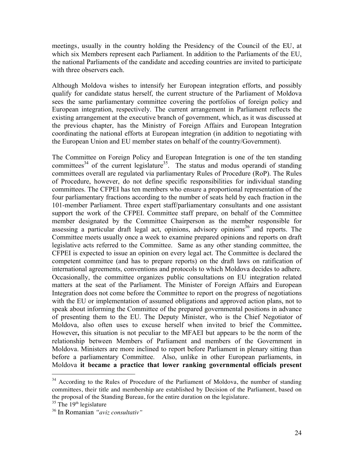meetings, usually in the country holding the Presidency of the Council of the EU, at which six Members represent each Parliament. In addition to the Parliaments of the EU, the national Parliaments of the candidate and acceding countries are invited to participate with three observers each.

Although Moldova wishes to intensify her European integration efforts, and possibly qualify for candidate status herself, the current structure of the Parliament of Moldova sees the same parliamentary committee covering the portfolios of foreign policy and European integration, respectively. The current arrangement in Parliament reflects the existing arrangement at the executive branch of government, which, as it was discussed at the previous chapter, has the Ministry of Foreign Affairs and European Integration coordinating the national efforts at European integration (in addition to negotiating with the European Union and EU member states on behalf of the country/Government).

The Committee on Foreign Policy and European Integration is one of the ten standing committees<sup>34</sup> of the current legislature<sup>35</sup>. The status and modus operandi of standing committees overall are regulated via parliamentary Rules of Procedure (RoP). The Rules of Procedure, however, do not define specific responsibilities for individual standing committees. The CFPEI has ten members who ensure a proportional representation of the four parliamentary fractions according to the number of seats held by each fraction in the 101-member Parliament. Three expert staff/parliamentary consultants and one assistant support the work of the CFPEI. Committee staff prepare, on behalf of the Committee member designated by the Committee Chairperson as the member responsible for assessing a particular draft legal act, opinions, advisory opinions $36$  and reports. The Committee meets usually once a week to examine prepared opinions and reports on draft legislative acts referred to the Committee. Same as any other standing committee, the CFPEI is expected to issue an opinion on every legal act. The Committee is declared the competent committee (and has to prepare reports) on the draft laws on ratification of international agreements, conventions and protocols to which Moldova decides to adhere. Occasionally, the committee organizes public consultations on EU integration related matters at the seat of the Parliament. The Minister of Foreign Affairs and European Integration does not come before the Committee to report on the progress of negotiations with the EU or implementation of assumed obligations and approved action plans, not to speak about informing the Committee of the prepared governmental positions in advance of presenting them to the EU. The Deputy Minister, who is the Chief Negotiator of Moldova, also often uses to excuse herself when invited to brief the Committee**.**  However**,** this situation is not peculiar to the MFAEI but appears to be the norm of the relationship between Members of Parliament and members of the Government in Moldova. Ministers are more inclined to report before Parliament in plenary sitting than before a parliamentary Committee. Also, unlike in other European parliaments, in Moldova **it became a practice that lower ranking governmental officials present** 

<sup>&</sup>lt;sup>34</sup> According to the Rules of Procedure of the Parliament of Moldova, the number of standing committees, their title and membership are established by Decision of the Parliament, based on the proposal of the Standing Bureau, for the entire duration on the legislature.

 $35$  The 19<sup>th</sup> legislature

<sup>36</sup> In Romanian *"aviz consultativ"*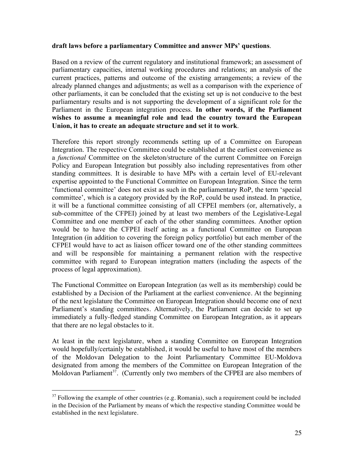#### **draft laws before a parliamentary Committee and answer MPs' questions**.

Based on a review of the current regulatory and institutional framework; an assessment of parliamentary capacities, internal working procedures and relations; an analysis of the current practices, patterns and outcome of the existing arrangements; a review of the already planned changes and adjustments; as well as a comparison with the experience of other parliaments, it can be concluded that the existing set up is not conducive to the best parliamentary results and is not supporting the development of a significant role for the Parliament in the European integration process. **In other words, if the Parliament wishes to assume a meaningful role and lead the country toward the European Union, it has to create an adequate structure and set it to work**.

Therefore this report strongly recommends setting up of a Committee on European Integration. The respective Committee could be established at the earliest convenience as a *functional* Committee on the skeleton/structure of the current Committee on Foreign Policy and European Integration but possibly also including representatives from other standing committees. It is desirable to have MPs with a certain level of EU-relevant expertise appointed to the Functional Committee on European Integration. Since the term 'functional committee' does not exist as such in the parliamentary RoP, the term 'special committee', which is a category provided by the RoP, could be used instead. In practice, it will be a functional committee consisting of all CFPEI members (or, alternatively, a sub-committee of the CFPEI) joined by at least two members of the Legislative-Legal Committee and one member of each of the other standing committees. Another option would be to have the CFPEI itself acting as a functional Committee on European Integration (in addition to covering the foreign policy portfolio) but each member of the CFPEI would have to act as liaison officer toward one of the other standing committees and will be responsible for maintaining a permanent relation with the respective committee with regard to European integration matters (including the aspects of the process of legal approximation).

The Functional Committee on European Integration (as well as its membership) could be established by a Decision of the Parliament at the earliest convenience. At the beginning of the next legislature the Committee on European Integration should become one of next Parliament's standing committees. Alternatively, the Parliament can decide to set up immediately a fully-fledged standing Committee on European Integration, as it appears that there are no legal obstacles to it.

At least in the next legislature, when a standing Committee on European Integration would hopefully/certainly be established, it would be useful to have most of the members of the Moldovan Delegation to the Joint Parliamentary Committee EU-Moldova designated from among the members of the Committee on European Integration of the Moldovan Parliament<sup>37</sup>. (Currently only two members of the CFPEI are also members of

 $37$  Following the example of other countries (e.g. Romania), such a requirement could be included in the Decision of the Parliament by means of which the respective standing Committee would be established in the next legislature.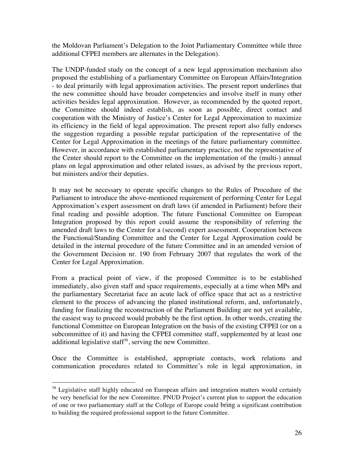the Moldovan Parliament's Delegation to the Joint Parliamentary Committee while three additional CFPEI members are alternates in the Delegation).

The UNDP-funded study on the concept of a new legal approximation mechanism also proposed the establishing of a parliamentary Committee on European Affairs/Integration - to deal primarily with legal approximation activities. The present report underlines that the new committee should have broader competencies and involve itself in many other activities besides legal approximation. However, as recommended by the quoted report, the Committee should indeed establish, as soon as possible, direct contact and cooperation with the Ministry of Justice's Center for Legal Approximation to maximize its efficiency in the field of legal approximation. The present report also fully endorses the suggestion regarding a possible regular participation of the representative of the Center for Legal Approximation in the meetings of the future parliamentary committee. However, in accordance with established parliamentary practice, not the representative of the Center should report to the Committee on the implementation of the (multi-) annual plans on legal approximation and other related issues, as advised by the previous report, but ministers and/or their deputies.

It may not be necessary to operate specific changes to the Rules of Procedure of the Parliament to introduce the above-mentioned requirement of performing Center for Legal Approximation's expert assessment on draft laws (if amended in Parliament) before their final reading and possible adoption. The future Functional Committee on European Integration proposed by this report could assume the responsibility of referring the amended draft laws to the Center for a (second) expert assessment. Cooperation between the Functional/Standing Committee and the Center for Legal Approximation could be detailed in the internal procedure of the future Committee and in an amended version of the Government Decision nr. 190 from February 2007 that regulates the work of the Center for Legal Approximation.

From a practical point of view, if the proposed Committee is to be established immediately, also given staff and space requirements, especially at a time when MPs and the parliamentary Secretariat face an acute lack of office space that act as a restrictive element to the process of advancing the planed institutional reform, and, unfortunately, funding for finalizing the reconstruction of the Parliament Building are not yet available, the easiest way to proceed would probably be the first option. In other words, creating the functional Committee on European Integration on the basis of the existing CFPEI (or on a subcommittee of it) and having the CFPEI committee staff, supplemented by at least one additional legislative staff<sup>38</sup>, serving the new Committee.

Once the Committee is established, appropriate contacts, work relations and communication procedures related to Committee's role in legal approximation, in

<sup>&</sup>lt;sup>38</sup> Legislative staff highly educated on European affairs and integration matters would certainly be very beneficial for the new Committee. PNUD Project's current plan to support the education of one or two parliamentary staff at the College of Europe could bring a significant contribution to building the required professional support to the future Committee.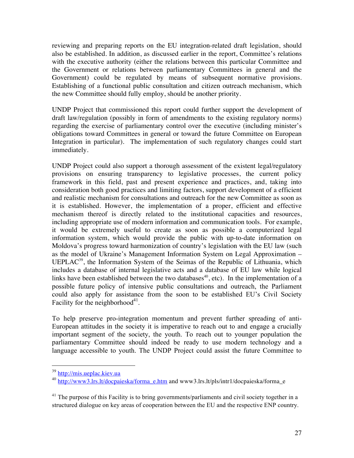reviewing and preparing reports on the EU integration-related draft legislation, should also be established. In addition, as discussed earlier in the report, Committee's relations with the executive authority (either the relations between this particular Committee and the Government or relations between parliamentary Committees in general and the Government) could be regulated by means of subsequent normative provisions. Establishing of a functional public consultation and citizen outreach mechanism, which the new Committee should fully employ, should be another priority.

UNDP Project that commissioned this report could further support the development of draft law/regulation (possibly in form of amendments to the existing regulatory norms) regarding the exercise of parliamentary control over the executive (including minister's obligations toward Committees in general or toward the future Committee on European Integration in particular). The implementation of such regulatory changes could start immediately.

UNDP Project could also support a thorough assessment of the existent legal/regulatory provisions on ensuring transparency to legislative processes, the current policy framework in this field, past and present experience and practices, and, taking into consideration both good practices and limiting factors, support development of a efficient and realistic mechanism for consultations and outreach for the new Committee as soon as it is established. However, the implementation of a proper, efficient and effective mechanism thereof is directly related to the institutional capacities and resources, including appropriate use of modern information and communication tools. For example, it would be extremely useful to create as soon as possible a computerized legal information system, which would provide the public with up-to-date information on Moldova's progress toward harmonization of country's legislation with the EU law (such as the model of Ukraine's Management Information System on Legal Approximation – UEPLAC<sup>39</sup>, the Information System of the Seimas of the Republic of Lithuania, which includes a database of internal legislative acts and a database of EU law while logical links have been established between the two databases<sup>40</sup>, etc). In the implementation of a possible future policy of intensive public consultations and outreach, the Parliament could also apply for assistance from the soon to be established EU's Civil Society Facility for the neighborhood $41$ .

To help preserve pro-integration momentum and prevent further spreading of anti-European attitudes in the society it is imperative to reach out to and engage a crucially important segment of the society, the youth. To reach out to younger population the parliamentary Committee should indeed be ready to use modern technology and a language accessible to youth. The UNDP Project could assist the future Committee to

 <sup>39</sup> http://mis.ueplac.kiev.ua

<sup>40</sup> http://www3.lrs.lt/docpaieska/forma\_e.htm and www3.lrs.lt/pls/intr1/docpaieska/forma\_e

<sup>&</sup>lt;sup>41</sup> The purpose of this Facility is to bring governments/parliaments and civil society together in a structured dialogue on key areas of cooperation between the EU and the respective ENP country.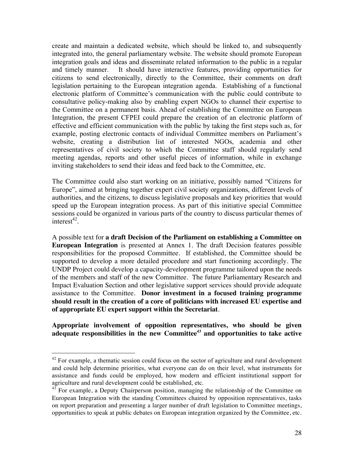create and maintain a dedicated website, which should be linked to, and subsequently integrated into, the general parliamentary website. The website should promote European integration goals and ideas and disseminate related information to the public in a regular and timely manner. It should have interactive features, providing opportunities for citizens to send electronically, directly to the Committee, their comments on draft legislation pertaining to the European integration agenda. Establishing of a functional electronic platform of Committee's communication with the public could contribute to consultative policy-making also by enabling expert NGOs to channel their expertise to the Committee on a permanent basis. Ahead of establishing the Committee on European Integration, the present CFPEI could prepare the creation of an electronic platform of effective and efficient communication with the public by taking the first steps such as, for example, posting electronic contacts of individual Committee members on Parliament's website, creating a distribution list of interested NGOs, academia and other representatives of civil society to which the Committee staff should regularly send meeting agendas, reports and other useful pieces of information, while in exchange inviting stakeholders to send their ideas and feed back to the Committee, etc.

The Committee could also start working on an initiative, possibly named "Citizens for Europe", aimed at bringing together expert civil society organizations, different levels of authorities, and the citizens, to discuss legislative proposals and key priorities that would speed up the European integration process. As part of this initiative special Committee sessions could be organized in various parts of the country to discuss particular themes of  $interest$ <sup>42</sup>

A possible text for **a draft Decision of the Parliament on establishing a Committee on European Integration** is presented at Annex 1. The draft Decision features possible responsibilities for the proposed Committee. If established, the Committee should be supported to develop a more detailed procedure and start functioning accordingly. The UNDP Project could develop a capacity-development programme tailored upon the needs of the members and staff of the new Committee. The future Parliamentary Research and Impact Evaluation Section and other legislative support services should provide adequate assistance to the Committee. **Donor investment in a focused training programme should result in the creation of a core of politicians with increased EU expertise and of appropriate EU expert support within the Secretariat**.

**Appropriate involvement of opposition representatives, who should be given adequate responsibilities in the new Committee43 and opportunities to take active** 

 $42$  For example, a thematic session could focus on the sector of agriculture and rural development and could help determine priorities, what everyone can do on their level, what instruments for assistance and funds could be employed, how modern and efficient institutional support for agriculture and rural development could be established, etc.

 $43$  For example, a Deputy Chairperson position, managing the relationship of the Committee on European Integration with the standing Committees chaired by opposition representatives, tasks on report preparation and presenting a larger number of draft legislation to Committee meetings, opportunities to speak at public debates on European integration organized by the Committee, etc.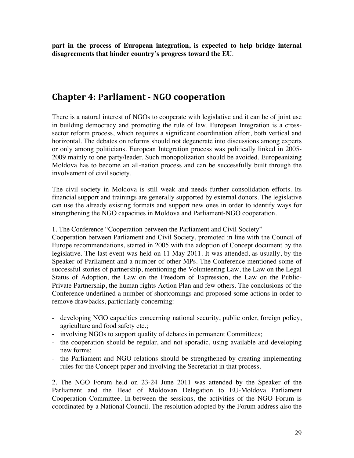**part in the process of European integration, is expected to help bridge internal disagreements that hinder country's progress toward the EU**.

### **Chapter 4: Parliament - NGO cooperation**

There is a natural interest of NGOs to cooperate with legislative and it can be of joint use in building democracy and promoting the rule of law. European Integration is a crosssector reform process, which requires a significant coordination effort, both vertical and horizontal. The debates on reforms should not degenerate into discussions among experts or only among politicians. European Integration process was politically linked in 2005- 2009 mainly to one party/leader. Such monopolization should be avoided. Europeanizing Moldova has to become an all-nation process and can be successfully built through the involvement of civil society.

The civil society in Moldova is still weak and needs further consolidation efforts. Its financial support and trainings are generally supported by external donors. The legislative can use the already existing formats and support new ones in order to identify ways for strengthening the NGO capacities in Moldova and Parliament-NGO cooperation.

1. The Conference "Cooperation between the Parliament and Civil Society"

Cooperation between Parliament and Civil Society, promoted in line with the Council of Europe recommendations, started in 2005 with the adoption of Concept document by the legislative. The last event was held on 11 May 2011. It was attended, as usually, by the Speaker of Parliament and a number of other MPs. The Conference mentioned some of successful stories of partnership, mentioning the Volunteering Law, the Law on the Legal Status of Adoption, the Law on the Freedom of Expression, the Law on the Public-Private Partnership, the human rights Action Plan and few others. The conclusions of the Conference underlined a number of shortcomings and proposed some actions in order to remove drawbacks, particularly concerning:

- developing NGO capacities concerning national security, public order, foreign policy, agriculture and food safety etc.;
- involving NGOs to support quality of debates in permanent Committees;
- the cooperation should be regular, and not sporadic, using available and developing new forms;
- the Parliament and NGO relations should be strengthened by creating implementing rules for the Concept paper and involving the Secretariat in that process.

2. The NGO Forum held on 23-24 June 2011 was attended by the Speaker of the Parliament and the Head of Moldovan Delegation to EU-Moldova Parliament Cooperation Committee. In-between the sessions, the activities of the NGO Forum is coordinated by a National Council. The resolution adopted by the Forum address also the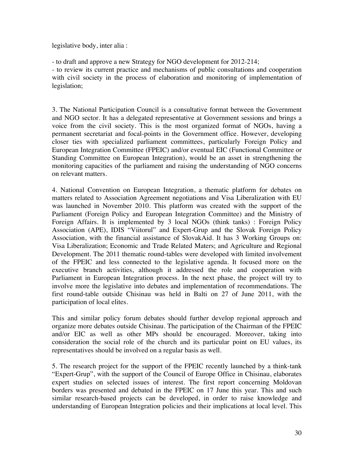legislative body, inter alia :

- to draft and approve a new Strategy for NGO development for 2012-214;

- to review its current practice and mechanisms of public consultations and cooperation with civil society in the process of elaboration and monitoring of implementation of legislation;

3. The National Participation Council is a consultative format between the Government and NGO sector. It has a delegated representative at Government sessions and brings a voice from the civil society. This is the most organized format of NGOs, having a permanent secretariat and focal-points in the Government office. However, developing closer ties with specialized parliament committees, particularly Foreign Policy and European Integration Committee (FPEIC) and/or eventual EIC (Functional Committee or Standing Committee on European Integration), would be an asset in strengthening the monitoring capacities of the parliament and raising the understanding of NGO concerns on relevant matters.

4. National Convention on European Integration, a thematic platform for debates on matters related to Association Agreement negotiations and Visa Liberalization with EU was launched in November 2010. This platform was created with the support of the Parliament (Foreign Policy and European Integration Committee) and the Ministry of Foreign Affairs. It is implemented by 3 local NGOs (think tanks) : Foreign Policy Association (APE), IDIS "Viitorul" and Expert-Grup and the Slovak Foreign Policy Association, with the financial assistance of SlovakAid. It has 3 Working Groups on: Visa Liberalization; Economic and Trade Related Maters; and Agriculture and Regional Development. The 2011 thematic round-tables were developed with limited involvement of the FPEIC and less connected to the legislative agenda. It focused more on the executive branch activities, although it addressed the role and cooperation with Parliament in European Integration process. In the next phase, the project will try to involve more the legislative into debates and implementation of recommendations. The first round-table outside Chisinau was held in Balti on 27 of June 2011, with the participation of local elites.

This and similar policy forum debates should further develop regional approach and organize more debates outside Chisinau. The participation of the Chairman of the FPEIC and/or EIC as well as other MPs should be encouraged. Moreover, taking into consideration the social role of the church and its particular point on EU values, its representatives should be involved on a regular basis as well.

5. The research project for the support of the FPEIC recently launched by a think-tank "Expert-Grup", with the support of the Council of Europe Office in Chisinau, elaborates expert studies on selected issues of interest. The first report concerning Moldovan borders was presented and debated in the FPEIC on 17 June this year. This and such similar research-based projects can be developed, in order to raise knowledge and understanding of European Integration policies and their implications at local level. This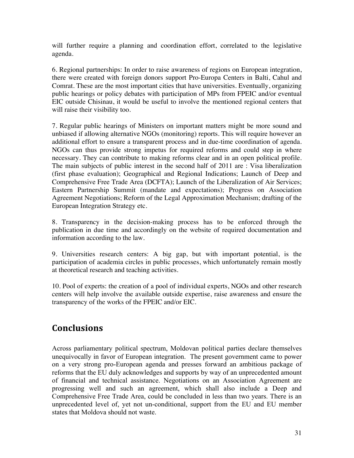will further require a planning and coordination effort, correlated to the legislative agenda.

6. Regional partnerships: In order to raise awareness of regions on European integration, there were created with foreign donors support Pro-Europa Centers in Balti, Cahul and Comrat. These are the most important cities that have universities. Eventually, organizing public hearings or policy debates with participation of MPs from FPEIC and/or eventual EIC outside Chisinau, it would be useful to involve the mentioned regional centers that will raise their visibility too.

7. Regular public hearings of Ministers on important matters might be more sound and unbiased if allowing alternative NGOs (monitoring) reports. This will require however an additional effort to ensure a transparent process and in due-time coordination of agenda. NGOs can thus provide strong impetus for required reforms and could step in where necessary. They can contribute to making reforms clear and in an open political profile. The main subjects of public interest in the second half of 2011 are : Visa liberalization (first phase evaluation); Geographical and Regional Indications; Launch of Deep and Comprehensive Free Trade Area (DCFTA); Launch of the Liberalization of Air Services; Eastern Partnership Summit (mandate and expectations); Progress on Association Agreement Negotiations; Reform of the Legal Approximation Mechanism; drafting of the European Integration Strategy etc.

8. Transparency in the decision-making process has to be enforced through the publication in due time and accordingly on the website of required documentation and information according to the law.

9. Universities research centers: A big gap, but with important potential, is the participation of academia circles in public processes, which unfortunately remain mostly at theoretical research and teaching activities.

10. Pool of experts: the creation of a pool of individual experts, NGOs and other research centers will help involve the available outside expertise, raise awareness and ensure the transparency of the works of the FPEIC and/or EIC.

# **Conclusions**

Across parliamentary political spectrum, Moldovan political parties declare themselves unequivocally in favor of European integration. The present government came to power on a very strong pro-European agenda and presses forward an ambitious package of reforms that the EU duly acknowledges and supports by way of an unprecedented amount of financial and technical assistance. Negotiations on an Association Agreement are progressing well and such an agreement, which shall also include a Deep and Comprehensive Free Trade Area, could be concluded in less than two years. There is an unprecedented level of, yet not un-conditional, support from the EU and EU member states that Moldova should not waste.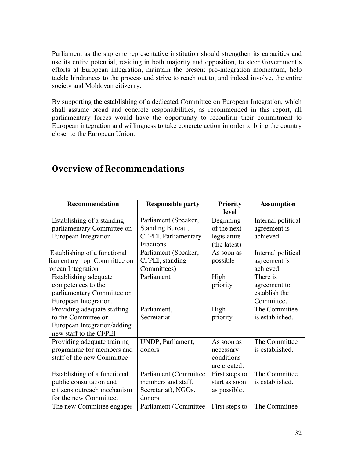Parliament as the supreme representative institution should strengthen its capacities and use its entire potential, residing in both majority and opposition, to steer Government's efforts at European integration, maintain the present pro-integration momentum, help tackle hindrances to the process and strive to reach out to, and indeed involve, the entire society and Moldovan citizenry.

By supporting the establishing of a dedicated Committee on European Integration, which shall assume broad and concrete responsibilities, as recommended in this report, all parliamentary forces would have the opportunity to reconfirm their commitment to European integration and willingness to take concrete action in order to bring the country closer to the European Union.

| Recommendation               | <b>Responsible party</b> | <b>Priority</b><br>level | <b>Assumption</b>  |
|------------------------------|--------------------------|--------------------------|--------------------|
| Establishing of a standing   | Parliament (Speaker,     | Beginning                | Internal political |
| parliamentary Committee on   | Standing Bureau,         | of the next              | agreement is       |
| European Integration         | CFPEI, Parliamentary     | legislature              | achieved.          |
|                              | <b>Fractions</b>         | (the latest)             |                    |
| Establishing of a functional | Parliament (Speaker,     | As soon as               | Internal political |
| liamentary op Committee on   | CFPEI, standing          | possible                 | agreement is       |
| opean Integration            | Committees)              |                          | achieved.          |
| Establishing adequate        | Parliament               | High                     | There is           |
| competences to the           |                          | priority                 | agreement to       |
| parliamentary Committee on   |                          |                          | establish the      |
| European Integration.        |                          |                          | Committee.         |
| Providing adequate staffing  | Parliament,              | High                     | The Committee      |
| to the Committee on          | Secretariat              | priority                 | is established.    |
| European Integration/adding  |                          |                          |                    |
| new staff to the CFPEI       |                          |                          |                    |
| Providing adequate training  | UNDP, Parliament,        | As soon as               | The Committee      |
| programme for members and    | donors                   | necessary                | is established.    |
| staff of the new Committee   |                          | conditions               |                    |
|                              |                          | are created.             |                    |
| Establishing of a functional | Parliament (Committee    | First steps to           | The Committee      |
| public consultation and      | members and staff,       | start as soon            | is established.    |
| citizens outreach mechanism  | Secretariat), NGOs,      | as possible.             |                    |
| for the new Committee.       | donors                   |                          |                    |
| The new Committee engages    | Parliament (Committee    | First steps to           | The Committee      |

# **Overview of Recommendations**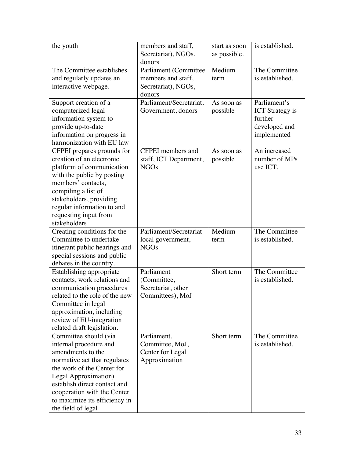| the youth                                                  | members and staff,      | start as soon | is established.        |
|------------------------------------------------------------|-------------------------|---------------|------------------------|
|                                                            | Secretariat), NGOs,     | as possible.  |                        |
|                                                            | donors                  |               |                        |
| The Committee establishes                                  | Parliament (Committee   | Medium        | The Committee          |
| and regularly updates an                                   | members and staff,      | term          | is established.        |
| interactive webpage.                                       | Secretariat), NGOs,     |               |                        |
|                                                            | donors                  |               |                        |
| Support creation of a                                      | Parliament/Secretariat, | As soon as    | Parliament's           |
| computerized legal                                         | Government, donors      | possible      | <b>ICT</b> Strategy is |
| information system to                                      |                         |               | further                |
| provide up-to-date                                         |                         |               | developed and          |
| information on progress in                                 |                         |               | implemented            |
| harmonization with EU law                                  |                         |               |                        |
| CFPEI prepares grounds for                                 | CFPEI members and       | As soon as    | An increased           |
| creation of an electronic                                  | staff, ICT Department,  | possible      | number of MPs          |
| platform of communication                                  | <b>NGOs</b>             |               | use ICT.               |
| with the public by posting                                 |                         |               |                        |
| members' contacts,                                         |                         |               |                        |
| compiling a list of                                        |                         |               |                        |
| stakeholders, providing                                    |                         |               |                        |
| regular information to and                                 |                         |               |                        |
| requesting input from                                      |                         |               |                        |
| stakeholders                                               |                         |               |                        |
| Creating conditions for the                                | Parliament/Secretariat  | Medium        | The Committee          |
| Committee to undertake                                     | local government,       | term          | is established.        |
| itinerant public hearings and                              | <b>NGOs</b>             |               |                        |
| special sessions and public                                |                         |               |                        |
| debates in the country.                                    | Parliament              |               | The Committee          |
| Establishing appropriate<br>contacts, work relations and   |                         | Short term    | is established.        |
|                                                            | (Committee,             |               |                        |
| communication procedures<br>related to the role of the new | Secretariat, other      |               |                        |
| Committee in legal                                         | Committees), MoJ        |               |                        |
|                                                            |                         |               |                        |
| approximation, including<br>review of EU-integration       |                         |               |                        |
| related draft legislation.                                 |                         |               |                        |
| Committee should (via                                      | Parliament,             | Short term    | The Committee          |
| internal procedure and                                     | Committee, MoJ,         |               | is established.        |
| amendments to the                                          | Center for Legal        |               |                        |
| normative act that regulates                               | Approximation           |               |                        |
| the work of the Center for                                 |                         |               |                        |
| Legal Approximation)                                       |                         |               |                        |
| establish direct contact and                               |                         |               |                        |
| cooperation with the Center                                |                         |               |                        |
| to maximize its efficiency in                              |                         |               |                        |
|                                                            |                         |               |                        |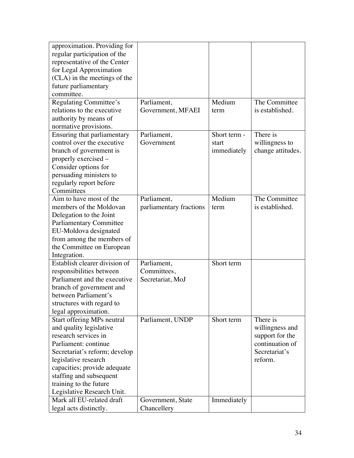| approximation. Providing for   |                         |              |                   |
|--------------------------------|-------------------------|--------------|-------------------|
| regular participation of the   |                         |              |                   |
| representative of the Center   |                         |              |                   |
| for Legal Approximation        |                         |              |                   |
| (CLA) in the meetings of the   |                         |              |                   |
| future parliamentary           |                         |              |                   |
| committee.                     |                         |              |                   |
| Regulating Committee's         | Parliament,             | Medium       | The Committee     |
| relations to the executive     | Government, MFAEI       | term         | is established.   |
| authority by means of          |                         |              |                   |
| normative provisions.          |                         |              |                   |
| Ensuring that parliamentary    | Parliament,             | Short term - | There is          |
| control over the executive     | Government              | start        | willingness to    |
| branch of government is        |                         | immediately  | change attitudes. |
| properly exercised –           |                         |              |                   |
| Consider options for           |                         |              |                   |
| persuading ministers to        |                         |              |                   |
| regularly report before        |                         |              |                   |
| Committees                     |                         |              |                   |
| Aim to have most of the        | Parliament,             | Medium       | The Committee     |
| members of the Moldovan        | parliamentary fractions | term         | is established.   |
| Delegation to the Joint        |                         |              |                   |
| <b>Parliamentary Committee</b> |                         |              |                   |
| EU-Moldova designated          |                         |              |                   |
| from among the members of      |                         |              |                   |
| the Committee on European      |                         |              |                   |
| Integration.                   |                         |              |                   |
| Establish clearer division of  | Parliament,             | Short term   |                   |
| responsibilities between       | Committees,             |              |                   |
| Parliament and the executive   | Secretariat, MoJ        |              |                   |
| branch of government and       |                         |              |                   |
| between Parliament's           |                         |              |                   |
| structures with regard to      |                         |              |                   |
| legal approximation.           |                         |              |                   |
| Start offering MPs neutral     | Parliament, UNDP        | Short term   | There is          |
| and quality legislative        |                         |              | willingness and   |
| research services in           |                         |              | support for the   |
| Parliament: continue           |                         |              | continuation of   |
| Secretariat's reform; develop  |                         |              | Secretariat's     |
| legislative research           |                         |              | reform.           |
| capacities; provide adequate   |                         |              |                   |
| staffing and subsequent        |                         |              |                   |
| training to the future         |                         |              |                   |
| Legislative Research Unit.     |                         |              |                   |
| Mark all EU-related draft      | Government, State       | Immediately  |                   |
| legal acts distinctly.         | Chancellery             |              |                   |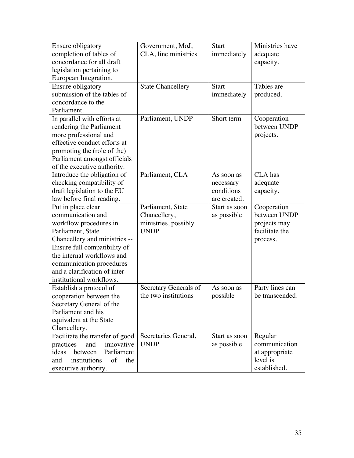| Ensure obligatory                | Government, MoJ,         | <b>Start</b>  | Ministries have |
|----------------------------------|--------------------------|---------------|-----------------|
| completion of tables of          | CLA, line ministries     | immediately   | adequate        |
| concordance for all draft        |                          |               | capacity.       |
| legislation pertaining to        |                          |               |                 |
| European Integration.            |                          |               |                 |
| Ensure obligatory                | <b>State Chancellery</b> | <b>Start</b>  | Tables are      |
| submission of the tables of      |                          | immediately   | produced.       |
| concordance to the               |                          |               |                 |
| Parliament.                      |                          |               |                 |
| In parallel with efforts at      | Parliament, UNDP         | Short term    | Cooperation     |
| rendering the Parliament         |                          |               | between UNDP    |
| more professional and            |                          |               | projects.       |
| effective conduct efforts at     |                          |               |                 |
| promoting the (role of the)      |                          |               |                 |
| Parliament amongst officials     |                          |               |                 |
| of the executive authority.      |                          |               |                 |
| Introduce the obligation of      | Parliament, CLA          | As soon as    | <b>CLA</b> has  |
| checking compatibility of        |                          | necessary     | adequate        |
| draft legislation to the EU      |                          | conditions    | capacity.       |
| law before final reading.        |                          | are created.  |                 |
| Put in place clear               | Parliament, State        | Start as soon | Cooperation     |
| communication and                | Chancellery,             | as possible   | between UNDP    |
| workflow procedures in           | ministries, possibly     |               | projects may    |
| Parliament, State                | <b>UNDP</b>              |               | facilitate the  |
| Chancellery and ministries --    |                          |               | process.        |
| Ensure full compatibility of     |                          |               |                 |
| the internal workflows and       |                          |               |                 |
| communication procedures         |                          |               |                 |
| and a clarification of inter-    |                          |               |                 |
| institutional workflows.         |                          |               |                 |
| Establish a protocol of          | Secretary Generals of    | As soon as    | Party lines can |
| cooperation between the          | the two institutions     | possible      | be transcended. |
| Secretary General of the         |                          |               |                 |
| Parliament and his               |                          |               |                 |
| equivalent at the State          |                          |               |                 |
| Chancellery.                     |                          |               |                 |
| Facilitate the transfer of good  | Secretaries General,     | Start as soon | Regular         |
| and<br>innovative<br>practices   | <b>UNDP</b>              | as possible   | communication   |
| Parliament<br>ideas<br>between   |                          |               | at appropriate  |
| institutions<br>of<br>and<br>the |                          |               | level is        |
| executive authority.             |                          |               | established.    |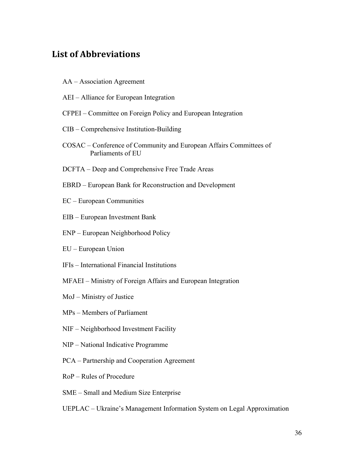### **List\*of\*Abbreviations**

- AA Association Agreement
- AEI Alliance for European Integration
- CFPEI Committee on Foreign Policy and European Integration
- CIB Comprehensive Institution-Building
- COSAC Conference of Community and European Affairs Committees of Parliaments of EU
- DCFTA Deep and Comprehensive Free Trade Areas
- EBRD European Bank for Reconstruction and Development
- EC European Communities
- EIB European Investment Bank
- ENP European Neighborhood Policy
- EU European Union
- IFIs International Financial Institutions
- MFAEI Ministry of Foreign Affairs and European Integration
- MoJ Ministry of Justice
- MPs Members of Parliament
- NIF Neighborhood Investment Facility
- NIP National Indicative Programme
- PCA Partnership and Cooperation Agreement
- RoP Rules of Procedure
- SME Small and Medium Size Enterprise
- UEPLAC Ukraine's Management Information System on Legal Approximation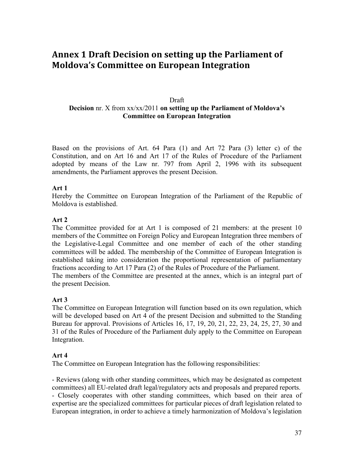# **Annex\*1 Draft\*Decision\*on\*setting\*up\*the\*Parliament\*of\* Moldova's Committee on European Integration**

#### Draft **Decision** nr. X from xx/xx/2011 **on setting up the Parliament of Moldova's Committee on European Integration**

Based on the provisions of Art. 64 Para (1) and Art 72 Para (3) letter c) of the Constitution, and on Art 16 and Art 17 of the Rules of Procedure of the Parliament adopted by means of the Law nr. 797 from April 2, 1996 with its subsequent amendments, the Parliament approves the present Decision.

#### **Art 1**

Hereby the Committee on European Integration of the Parliament of the Republic of Moldova is established.

#### **Art 2**

The Committee provided for at Art 1 is composed of 21 members: at the present 10 members of the Committee on Foreign Policy and European Integration three members of the Legislative-Legal Committee and one member of each of the other standing committees will be added. The membership of the Committee of European Integration is established taking into consideration the proportional representation of parliamentary fractions according to Art 17 Para (2) of the Rules of Procedure of the Parliament. The members of the Committee are presented at the annex, which is an integral part of the present Decision.

**Art 3** 

The Committee on European Integration will function based on its own regulation, which will be developed based on Art 4 of the present Decision and submitted to the Standing Bureau for approval. Provisions of Articles 16, 17, 19, 20, 21, 22, 23, 24, 25, 27, 30 and 31 of the Rules of Procedure of the Parliament duly apply to the Committee on European Integration.

#### **Art 4**

The Committee on European Integration has the following responsibilities:

- Reviews (along with other standing committees, which may be designated as competent committees) all EU-related draft legal/regulatory acts and proposals and prepared reports. - Closely cooperates with other standing committees, which based on their area of expertise are the specialized committees for particular pieces of draft legislation related to European integration, in order to achieve a timely harmonization of Moldova's legislation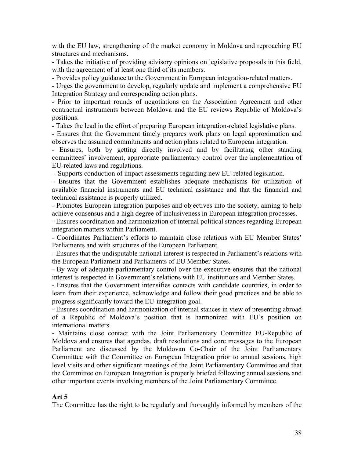with the EU law, strengthening of the market economy in Moldova and reproaching EU structures and mechanisms.

- Takes the initiative of providing advisory opinions on legislative proposals in this field, with the agreement of at least one third of its members.

- Provides policy guidance to the Government in European integration-related matters.

- Urges the government to develop, regularly update and implement a comprehensive EU Integration Strategy and corresponding action plans.

- Prior to important rounds of negotiations on the Association Agreement and other contractual instruments between Moldova and the EU reviews Republic of Moldova's positions.

- Takes the lead in the effort of preparing European integration-related legislative plans.

- Ensures that the Government timely prepares work plans on legal approximation and observes the assumed commitments and action plans related to European integration.

- Ensures, both by getting directly involved and by facilitating other standing committees' involvement, appropriate parliamentary control over the implementation of EU-related laws and regulations.

- Supports conduction of impact assessments regarding new EU-related legislation.

- Ensures that the Government establishes adequate mechanisms for utilization of available financial instruments and EU technical assistance and that the financial and technical assistance is properly utilized.

- Promotes European integration purposes and objectives into the society, aiming to help achieve consensus and a high degree of inclusiveness in European integration processes.

- Ensures coordination and harmonization of internal political stances regarding European integration matters within Parliament.

- Coordinates Parliament's efforts to maintain close relations with EU Member States' Parliaments and with structures of the European Parliament.

- Ensures that the undisputable national interest is respected in Parliament's relations with the European Parliament and Parliaments of EU Member States.

- By way of adequate parliamentary control over the executive ensures that the national interest is respected in Government's relations with EU institutions and Member States.

- Ensures that the Government intensifies contacts with candidate countries, in order to learn from their experience, acknowledge and follow their good practices and be able to progress significantly toward the EU-integration goal.

- Ensures coordination and harmonization of internal stances in view of presenting abroad of a Republic of Moldova's position that is harmonized with EU's position on international matters.

- Maintains close contact with the Joint Parliamentary Committee EU-Republic of Moldova and ensures that agendas, draft resolutions and core messages to the European Parliament are discussed by the Moldovan Co-Chair of the Joint Parliamentary Committee with the Committee on European Integration prior to annual sessions, high level visits and other significant meetings of the Joint Parliamentary Committee and that the Committee on European Integration is properly briefed following annual sessions and other important events involving members of the Joint Parliamentary Committee.

#### **Art 5**

The Committee has the right to be regularly and thoroughly informed by members of the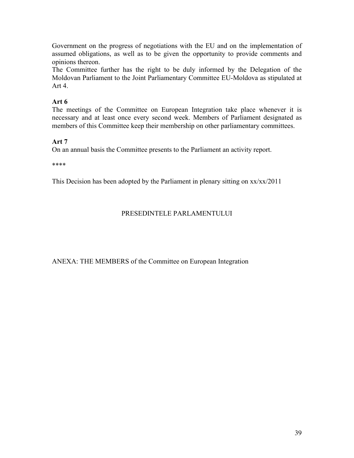Government on the progress of negotiations with the EU and on the implementation of assumed obligations, as well as to be given the opportunity to provide comments and opinions thereon.

The Committee further has the right to be duly informed by the Delegation of the Moldovan Parliament to the Joint Parliamentary Committee EU-Moldova as stipulated at Art 4.

### **Art 6**

The meetings of the Committee on European Integration take place whenever it is necessary and at least once every second week. Members of Parliament designated as members of this Committee keep their membership on other parliamentary committees.

#### **Art 7**

On an annual basis the Committee presents to the Parliament an activity report.

\*\*\*\*

This Decision has been adopted by the Parliament in plenary sitting on  $xx/xx/2011$ 

#### PRESEDINTELE PARLAMENTULUI

ANEXA: THE MEMBERS of the Committee on European Integration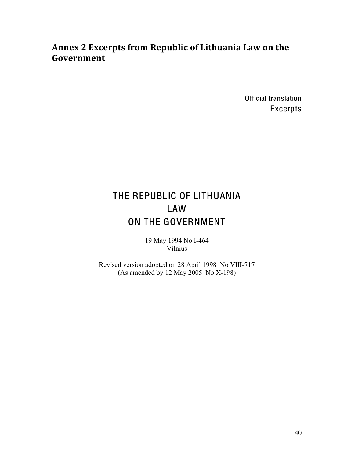# Annex 2 Excerpts from Republic of Lithuania Law on the **Government**

Official translation Excerpts

# THE REPUBLIC OF LITHUANIA LAW ON THE GOVERNMENT

19 May 1994 No I-464 Vilnius

Revised version adopted on 28 April 1998 No VIII-717 (As amended by 12 May 2005 No X-198)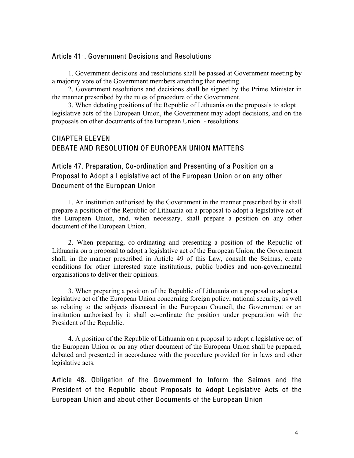#### Article 411. Government Decisions and Resolutions

1. Government decisions and resolutions shall be passed at Government meeting by a majority vote of the Government members attending that meeting.

2. Government resolutions and decisions shall be signed by the Prime Minister in the manner prescribed by the rules of procedure of the Government.

3. When debating positions of the Republic of Lithuania on the proposals to adopt legislative acts of the European Union, the Government may adopt decisions, and on the proposals on other documents of the European Union - resolutions.

### CHAPTER ELEVEN DEBATE AND RESOLUTION OF EUROPEAN UNION MATTERS

### Article 47. Preparation, Co-ordination and Presenting of a Position on a Proposal to Adopt a Legislative act of the European Union or on any other Document of the European Union

1. An institution authorised by the Government in the manner prescribed by it shall prepare a position of the Republic of Lithuania on a proposal to adopt a legislative act of the European Union, and, when necessary, shall prepare a position on any other document of the European Union.

2. When preparing, co-ordinating and presenting a position of the Republic of Lithuania on a proposal to adopt a legislative act of the European Union, the Government shall, in the manner prescribed in Article 49 of this Law, consult the Seimas, create conditions for other interested state institutions, public bodies and non-governmental organisations to deliver their opinions.

3. When preparing a position of the Republic of Lithuania on a proposal to adopt a legislative act of the European Union concerning foreign policy, national security, as well as relating to the subjects discussed in the European Council, the Government or an institution authorised by it shall co-ordinate the position under preparation with the President of the Republic.

4. A position of the Republic of Lithuania on a proposal to adopt a legislative act of the European Union or on any other document of the European Union shall be prepared, debated and presented in accordance with the procedure provided for in laws and other legislative acts.

Article 48. Obligation of the Government to Inform the Seimas and the President of the Republic about Proposals to Adopt Legislative Acts of the European Union and about other Documents of the European Union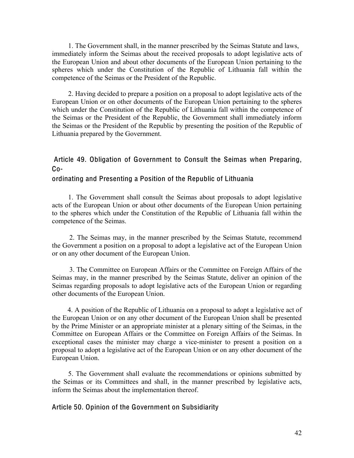1. The Government shall, in the manner prescribed by the Seimas Statute and laws, immediately inform the Seimas about the received proposals to adopt legislative acts of the European Union and about other documents of the European Union pertaining to the spheres which under the Constitution of the Republic of Lithuania fall within the competence of the Seimas or the President of the Republic.

2. Having decided to prepare a position on a proposal to adopt legislative acts of the European Union or on other documents of the European Union pertaining to the spheres which under the Constitution of the Republic of Lithuania fall within the competence of the Seimas or the President of the Republic, the Government shall immediately inform the Seimas or the President of the Republic by presenting the position of the Republic of Lithuania prepared by the Government.

### Article 49. Obligation of Government to Consult the Seimas when Preparing, Co-

#### ordinating and Presenting a Position of the Republic of Lithuania

1. The Government shall consult the Seimas about proposals to adopt legislative acts of the European Union or about other documents of the European Union pertaining to the spheres which under the Constitution of the Republic of Lithuania fall within the competence of the Seimas.

 2. The Seimas may, in the manner prescribed by the Seimas Statute, recommend the Government a position on a proposal to adopt a legislative act of the European Union or on any other document of the European Union.

 3. The Committee on European Affairs or the Committee on Foreign Affairs of the Seimas may, in the manner prescribed by the Seimas Statute, deliver an opinion of the Seimas regarding proposals to adopt legislative acts of the European Union or regarding other documents of the European Union.

 4. A position of the Republic of Lithuania on a proposal to adopt a legislative act of the European Union or on any other document of the European Union shall be presented by the Prime Minister or an appropriate minister at a plenary sitting of the Seimas, in the Committee on European Affairs or the Committee on Foreign Affairs of the Seimas. In exceptional cases the minister may charge a vice-minister to present a position on a proposal to adopt a legislative act of the European Union or on any other document of the European Union.

5. The Government shall evaluate the recommendations or opinions submitted by the Seimas or its Committees and shall, in the manner prescribed by legislative acts, inform the Seimas about the implementation thereof.

#### Article 50. Opinion of the Government on Subsidiarity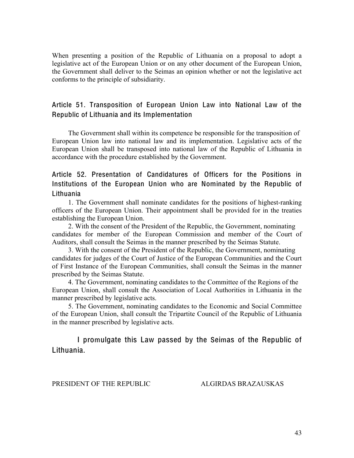When presenting a position of the Republic of Lithuania on a proposal to adopt a legislative act of the European Union or on any other document of the European Union, the Government shall deliver to the Seimas an opinion whether or not the legislative act conforms to the principle of subsidiarity.

#### Article 51. Transposition of European Union Law into National Law of the Republic of Lithuania and its Implementation

The Government shall within its competence be responsible for the transposition of European Union law into national law and its implementation. Legislative acts of the European Union shall be transposed into national law of the Republic of Lithuania in accordance with the procedure established by the Government.

### Article 52. Presentation of Candidatures of Officers for the Positions in Institutions of the European Union who are Nominated by the Republic of Lithuania

1. The Government shall nominate candidates for the positions of highest-ranking officers of the European Union. Their appointment shall be provided for in the treaties establishing the European Union.

2. With the consent of the President of the Republic, the Government, nominating candidates for member of the European Commission and member of the Court of Auditors, shall consult the Seimas in the manner prescribed by the Seimas Statute.

3. With the consent of the President of the Republic, the Government, nominating candidates for judges of the Court of Justice of the European Communities and the Court of First Instance of the European Communities, shall consult the Seimas in the manner prescribed by the Seimas Statute.

4. The Government, nominating candidates to the Committee of the Regions of the European Union, shall consult the Association of Local Authorities in Lithuania in the manner prescribed by legislative acts.

5. The Government, nominating candidates to the Economic and Social Committee of the European Union, shall consult the Tripartite Council of the Republic of Lithuania in the manner prescribed by legislative acts.

 I promulgate this Law passed by the Seimas of the Republic of Lithuania.

PRESIDENT OF THE REPUBLIC ALGIRDAS BRAZAUSKAS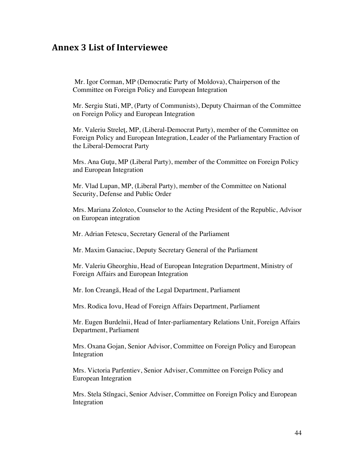### **Annex\*3 List\*of\*Interviewee**

Mr. Igor Corman, MP (Democratic Party of Moldova), Chairperson of the Committee on Foreign Policy and European Integration

Mr. Sergiu Stati, MP, (Party of Communists), Deputy Chairman of the Committee on Foreign Policy and European Integration

Mr. Valeriu Streleţ, MP, (Liberal-Democrat Party), member of the Committee on Foreign Policy and European Integration, Leader of the Parliamentary Fraction of the Liberal-Democrat Party

Mrs. Ana Guţu, MP (Liberal Party), member of the Committee on Foreign Policy and European Integration

Mr. Vlad Lupan, MP, (Liberal Party), member of the Committee on National Security, Defense and Public Order

Mrs. Mariana Zolotco, Counselor to the Acting President of the Republic, Advisor on European integration

Mr. Adrian Fetescu, Secretary General of the Parliament

Mr. Maxim Ganaciuc, Deputy Secretary General of the Parliament

Mr. Valeriu Gheorghiu, Head of European Integration Department, Ministry of Foreign Affairs and European Integration

Mr. Ion Creangă, Head of the Legal Department, Parliament

Mrs. Rodica Iovu, Head of Foreign Affairs Department, Parliament

Mr. Eugen Burdelnii, Head of Inter-parliamentary Relations Unit, Foreign Affairs Department, Parliament

Mrs. Oxana Gojan, Senior Advisor, Committee on Foreign Policy and European Integration

Mrs. Victoria Parfentiev, Senior Adviser, Committee on Foreign Policy and European Integration

Mrs. Stela Stîngaci, Senior Adviser, Committee on Foreign Policy and European Integration